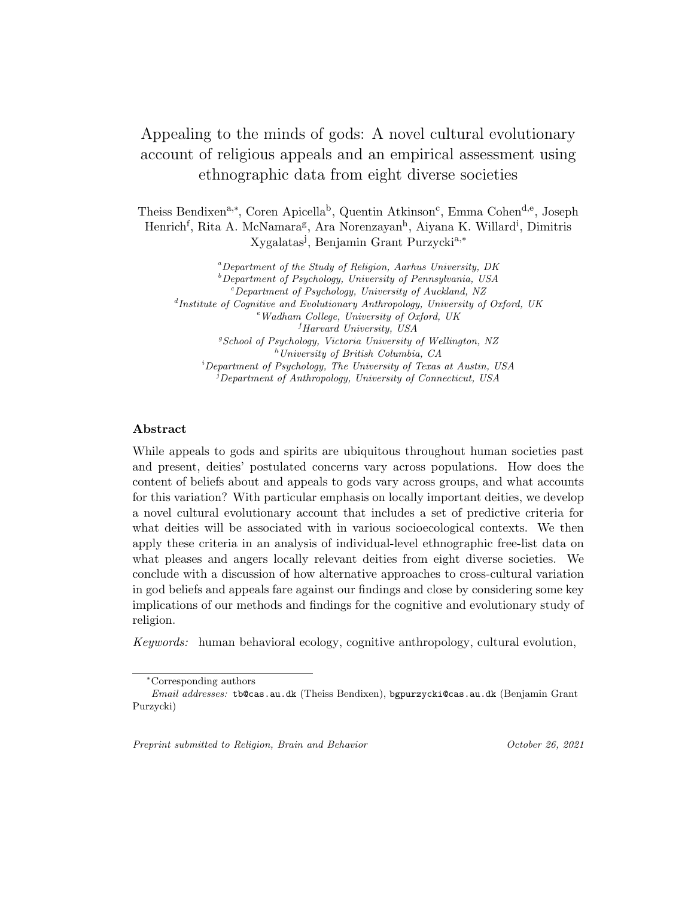# Appealing to the minds of gods: A novel cultural evolutionary account of religious appeals and an empirical assessment using ethnographic data from eight diverse societies

Theiss Bendixen<sup>a,∗</sup>, Coren Apicella<sup>b</sup>, Quentin Atkinson<sup>c</sup>, Emma Cohen<sup>d,e</sup>, Joseph Henrich<sup>f</sup>, Rita A. McNamara<sup>g</sup>, Ara Norenzayan<sup>h</sup>, Aiyana K. Willard<sup>i</sup>, Dimitris Xygalatas<sup>j</sup>, Benjamin Grant Purzycki<sup>a,∗</sup>

 ${}^a$ Department of the Study of Religion, Aarhus University, DK  $b$ Department of Psychology, University of Pennsylvania, USA  $c^c$ Department of Psychology, University of Auckland, NZ <sup>d</sup>Institute of Cognitive and Evolutionary Anthropology, University of Oxford, UK  $e$ <sup>e</sup>Wadham College, University of Oxford, UK  ${}^{f}$ Harvard University, USA  ${}^{g}S$ chool of Psychology, Victoria University of Wellington, NZ  $h$ University of British Columbia, CA  $i$ Department of Psychology, The University of Texas at Austin, USA  $j$ Department of Anthropology, University of Connecticut, USA

# Abstract

While appeals to gods and spirits are ubiquitous throughout human societies past and present, deities' postulated concerns vary across populations. How does the content of beliefs about and appeals to gods vary across groups, and what accounts for this variation? With particular emphasis on locally important deities, we develop a novel cultural evolutionary account that includes a set of predictive criteria for what deities will be associated with in various socioecological contexts. We then apply these criteria in an analysis of individual-level ethnographic free-list data on what pleases and angers locally relevant deities from eight diverse societies. We conclude with a discussion of how alternative approaches to cross-cultural variation in god beliefs and appeals fare against our findings and close by considering some key implications of our methods and findings for the cognitive and evolutionary study of religion.

Keywords: human behavioral ecology, cognitive anthropology, cultural evolution,

Preprint submitted to Religion, Brain and Behavior Changes (2021) (Clotter 26, 2021

<sup>∗</sup>Corresponding authors

Email addresses: tb@cas.au.dk (Theiss Bendixen), bgpurzycki@cas.au.dk (Benjamin Grant Purzycki)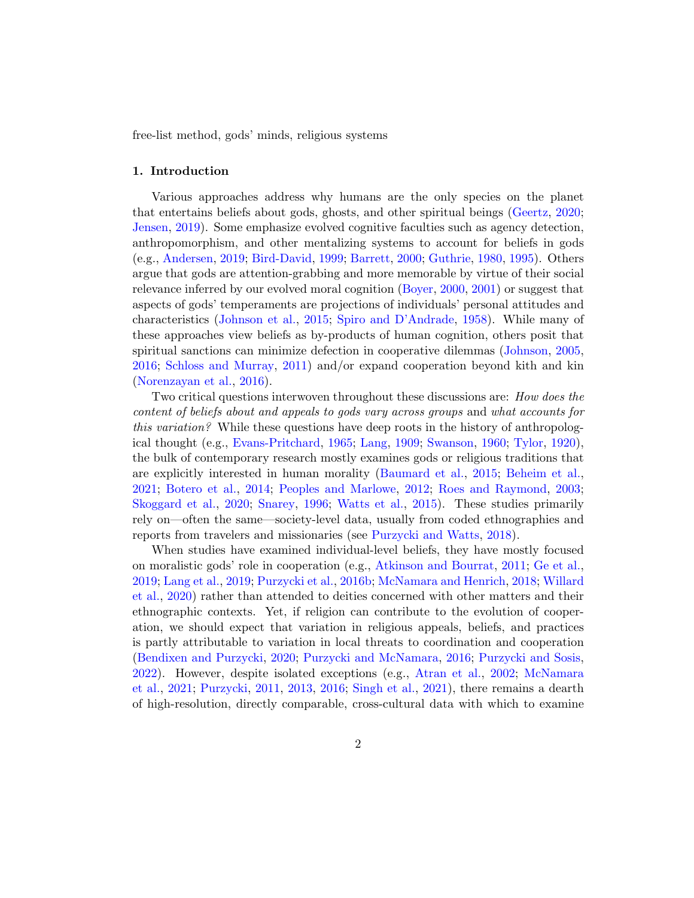free-list method, gods' minds, religious systems

#### 1. Introduction

Various approaches address why humans are the only species on the planet that entertains beliefs about gods, ghosts, and other spiritual beings [\(Geertz,](#page-27-0) [2020;](#page-27-0) [Jensen,](#page-28-0) [2019\)](#page-28-0). Some emphasize evolved cognitive faculties such as agency detection, anthropomorphism, and other mentalizing systems to account for beliefs in gods (e.g., [Andersen,](#page-23-0) [2019;](#page-23-0) [Bird-David,](#page-25-0) [1999;](#page-25-0) [Barrett,](#page-24-0) [2000;](#page-24-0) [Guthrie,](#page-27-1) [1980,](#page-27-1) [1995\)](#page-27-2). Others argue that gods are attention-grabbing and more memorable by virtue of their social relevance inferred by our evolved moral cognition [\(Boyer,](#page-25-1) [2000,](#page-25-1) [2001\)](#page-25-2) or suggest that aspects of gods' temperaments are projections of individuals' personal attitudes and characteristics [\(Johnson et al.,](#page-28-1) [2015;](#page-28-1) [Spiro and D'Andrade,](#page-34-0) [1958\)](#page-34-0). While many of these approaches view beliefs as by-products of human cognition, others posit that spiritual sanctions can minimize defection in cooperative dilemmas [\(Johnson,](#page-28-2) [2005,](#page-28-2) [2016;](#page-28-3) [Schloss and Murray,](#page-33-0) [2011\)](#page-33-0) and/or expand cooperation beyond kith and kin [\(Norenzayan et al.,](#page-30-0) [2016\)](#page-30-0).

Two critical questions interwoven throughout these discussions are: How does the content of beliefs about and appeals to gods vary across groups and what accounts for this variation? While these questions have deep roots in the history of anthropological thought (e.g., [Evans-Pritchard,](#page-27-3) [1965;](#page-27-3) [Lang,](#page-28-4) [1909;](#page-28-4) [Swanson,](#page-35-0) [1960;](#page-35-0) [Tylor,](#page-35-1) [1920\)](#page-35-1), the bulk of contemporary research mostly examines gods or religious traditions that are explicitly interested in human morality [\(Baumard et al.,](#page-24-1) [2015;](#page-24-1) [Beheim et al.,](#page-24-2) [2021;](#page-24-2) [Botero et al.,](#page-25-3) [2014;](#page-25-3) [Peoples and Marlowe,](#page-30-1) [2012;](#page-30-1) [Roes and Raymond,](#page-33-1) [2003;](#page-33-1) [Skoggard et al.,](#page-34-1) [2020;](#page-34-1) [Snarey,](#page-34-2) [1996;](#page-34-2) [Watts et al.,](#page-35-2) [2015\)](#page-35-2). These studies primarily rely on—often the same—society-level data, usually from coded ethnographies and reports from travelers and missionaries (see [Purzycki and Watts,](#page-32-0) [2018\)](#page-32-0).

When studies have examined individual-level beliefs, they have mostly focused on moralistic gods' role in cooperation (e.g., [Atkinson and Bourrat,](#page-24-3) [2011;](#page-24-3) [Ge et al.,](#page-27-4) [2019;](#page-27-4) [Lang et al.,](#page-29-0) [2019;](#page-29-0) [Purzycki et al.,](#page-31-0) [2016b;](#page-31-0) [McNamara and Henrich,](#page-29-1) [2018;](#page-29-1) [Willard](#page-35-3) [et al.,](#page-35-3) [2020\)](#page-35-3) rather than attended to deities concerned with other matters and their ethnographic contexts. Yet, if religion can contribute to the evolution of cooperation, we should expect that variation in religious appeals, beliefs, and practices is partly attributable to variation in local threats to coordination and cooperation [\(Bendixen and Purzycki,](#page-24-4) [2020;](#page-24-4) [Purzycki and McNamara,](#page-32-1) [2016;](#page-32-1) [Purzycki and Sosis,](#page-32-2) [2022\)](#page-32-2). However, despite isolated exceptions (e.g., [Atran et al.,](#page-24-5) [2002;](#page-24-5) [McNamara](#page-29-2) [et al.,](#page-29-2) [2021;](#page-29-2) [Purzycki,](#page-30-2) [2011,](#page-30-2) [2013,](#page-31-1) [2016;](#page-31-2) [Singh et al.,](#page-34-3) [2021\)](#page-34-3), there remains a dearth of high-resolution, directly comparable, cross-cultural data with which to examine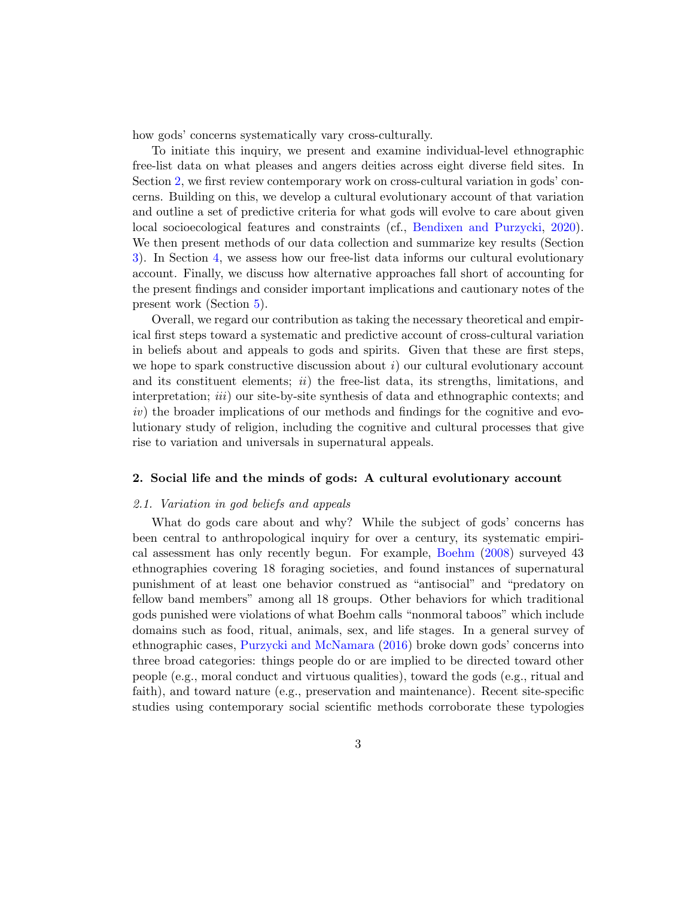how gods' concerns systematically vary cross-culturally.

To initiate this inquiry, we present and examine individual-level ethnographic free-list data on what pleases and angers deities across eight diverse field sites. In Section [2,](#page-2-0) we first review contemporary work on cross-cultural variation in gods' concerns. Building on this, we develop a cultural evolutionary account of that variation and outline a set of predictive criteria for what gods will evolve to care about given local socioecological features and constraints (cf., [Bendixen and Purzycki,](#page-24-4) [2020\)](#page-24-4). We then present methods of our data collection and summarize key results (Section [3\)](#page-6-0). In Section [4,](#page-14-0) we assess how our free-list data informs our cultural evolutionary account. Finally, we discuss how alternative approaches fall short of accounting for the present findings and consider important implications and cautionary notes of the present work (Section [5\)](#page-18-0).

Overall, we regard our contribution as taking the necessary theoretical and empirical first steps toward a systematic and predictive account of cross-cultural variation in beliefs about and appeals to gods and spirits. Given that these are first steps, we hope to spark constructive discussion about  $i$ ) our cultural evolutionary account and its constituent elements; *ii*) the free-list data, its strengths, limitations, and interpretation; *iii*) our site-by-site synthesis of data and ethnographic contexts; and iv) the broader implications of our methods and findings for the cognitive and evolutionary study of religion, including the cognitive and cultural processes that give rise to variation and universals in supernatural appeals.

#### <span id="page-2-0"></span>2. Social life and the minds of gods: A cultural evolutionary account

## 2.1. Variation in god beliefs and appeals

What do gods care about and why? While the subject of gods' concerns has been central to anthropological inquiry for over a century, its systematic empirical assessment has only recently begun. For example, [Boehm](#page-25-4) [\(2008\)](#page-25-4) surveyed 43 ethnographies covering 18 foraging societies, and found instances of supernatural punishment of at least one behavior construed as "antisocial" and "predatory on fellow band members" among all 18 groups. Other behaviors for which traditional gods punished were violations of what Boehm calls "nonmoral taboos" which include domains such as food, ritual, animals, sex, and life stages. In a general survey of ethnographic cases, [Purzycki and McNamara](#page-32-1) [\(2016\)](#page-32-1) broke down gods' concerns into three broad categories: things people do or are implied to be directed toward other people (e.g., moral conduct and virtuous qualities), toward the gods (e.g., ritual and faith), and toward nature (e.g., preservation and maintenance). Recent site-specific studies using contemporary social scientific methods corroborate these typologies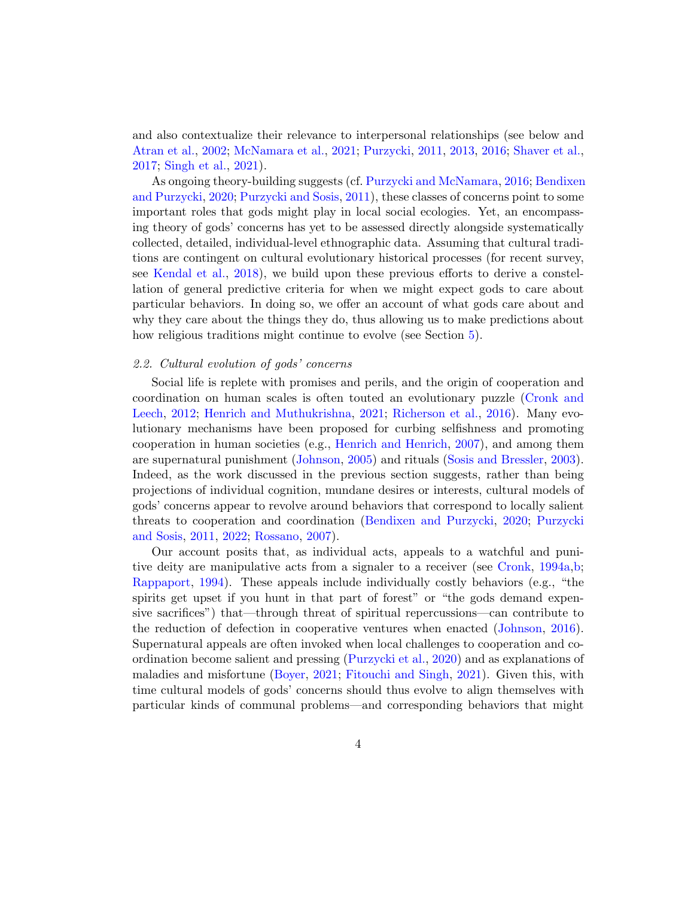and also contextualize their relevance to interpersonal relationships (see below and [Atran et al.,](#page-24-5) [2002;](#page-24-5) [McNamara et al.,](#page-29-2) [2021;](#page-29-2) [Purzycki,](#page-30-2) [2011,](#page-30-2) [2013,](#page-31-1) [2016;](#page-31-2) [Shaver et al.,](#page-33-2) [2017;](#page-33-2) [Singh et al.,](#page-34-3) [2021\)](#page-34-3).

As ongoing theory-building suggests (cf. [Purzycki and McNamara,](#page-32-1) [2016;](#page-32-1) [Bendixen](#page-24-4) [and Purzycki,](#page-24-4) [2020;](#page-24-4) [Purzycki and Sosis,](#page-32-3) [2011\)](#page-32-3), these classes of concerns point to some important roles that gods might play in local social ecologies. Yet, an encompassing theory of gods' concerns has yet to be assessed directly alongside systematically collected, detailed, individual-level ethnographic data. Assuming that cultural traditions are contingent on cultural evolutionary historical processes (for recent survey, see [Kendal et al.,](#page-28-5) [2018\)](#page-28-5), we build upon these previous efforts to derive a constellation of general predictive criteria for when we might expect gods to care about particular behaviors. In doing so, we offer an account of what gods care about and why they care about the things they do, thus allowing us to make predictions about how religious traditions might continue to evolve (see Section [5\)](#page-18-0).

## 2.2. Cultural evolution of gods' concerns

Social life is replete with promises and perils, and the origin of cooperation and coordination on human scales is often touted an evolutionary puzzle [\(Cronk and](#page-26-0) [Leech,](#page-26-0) [2012;](#page-26-0) [Henrich and Muthukrishna,](#page-28-6) [2021;](#page-28-6) [Richerson et al.,](#page-32-4) [2016\)](#page-32-4). Many evolutionary mechanisms have been proposed for curbing selfishness and promoting cooperation in human societies (e.g., [Henrich and Henrich,](#page-28-7) [2007\)](#page-28-7), and among them are supernatural punishment [\(Johnson,](#page-28-2) [2005\)](#page-28-2) and rituals [\(Sosis and Bressler,](#page-34-4) [2003\)](#page-34-4). Indeed, as the work discussed in the previous section suggests, rather than being projections of individual cognition, mundane desires or interests, cultural models of gods' concerns appear to revolve around behaviors that correspond to locally salient threats to cooperation and coordination [\(Bendixen and Purzycki,](#page-24-4) [2020;](#page-24-4) [Purzycki](#page-32-3) [and Sosis,](#page-32-3) [2011,](#page-32-3) [2022;](#page-32-2) [Rossano,](#page-33-3) [2007\)](#page-33-3).

Our account posits that, as individual acts, appeals to a watchful and punitive deity are manipulative acts from a signaler to a receiver (see [Cronk,](#page-26-1) [1994a,](#page-26-1)[b;](#page-26-2) [Rappaport,](#page-32-5) [1994\)](#page-32-5). These appeals include individually costly behaviors (e.g., "the spirits get upset if you hunt in that part of forest" or "the gods demand expensive sacrifices") that—through threat of spiritual repercussions—can contribute to the reduction of defection in cooperative ventures when enacted [\(Johnson,](#page-28-3) [2016\)](#page-28-3). Supernatural appeals are often invoked when local challenges to cooperation and coordination become salient and pressing [\(Purzycki et al.,](#page-32-6) [2020\)](#page-32-6) and as explanations of maladies and misfortune [\(Boyer,](#page-25-5) [2021;](#page-25-5) [Fitouchi and Singh,](#page-27-5) [2021\)](#page-27-5). Given this, with time cultural models of gods' concerns should thus evolve to align themselves with particular kinds of communal problems—and corresponding behaviors that might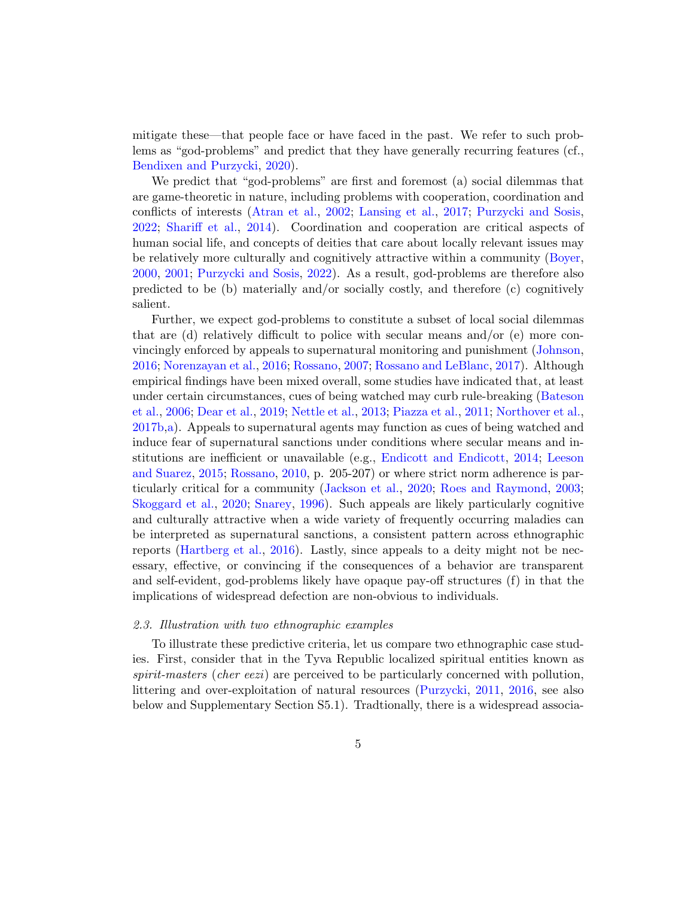mitigate these—that people face or have faced in the past. We refer to such problems as "god-problems" and predict that they have generally recurring features (cf., [Bendixen and Purzycki,](#page-24-4) [2020\)](#page-24-4).

We predict that "god-problems" are first and foremost (a) social dilemmas that are game-theoretic in nature, including problems with cooperation, coordination and conflicts of interests [\(Atran et al.,](#page-24-5) [2002;](#page-24-5) [Lansing et al.,](#page-29-3) [2017;](#page-29-3) [Purzycki and Sosis,](#page-32-2) [2022;](#page-32-2) [Shariff et al.,](#page-33-4) [2014\)](#page-33-4). Coordination and cooperation are critical aspects of human social life, and concepts of deities that care about locally relevant issues may be relatively more culturally and cognitively attractive within a community [\(Boyer,](#page-25-1) [2000,](#page-25-1) [2001;](#page-25-2) [Purzycki and Sosis,](#page-32-2) [2022\)](#page-32-2). As a result, god-problems are therefore also predicted to be (b) materially and/or socially costly, and therefore (c) cognitively salient.

Further, we expect god-problems to constitute a subset of local social dilemmas that are (d) relatively difficult to police with secular means and/or (e) more convincingly enforced by appeals to supernatural monitoring and punishment [\(Johnson,](#page-28-3) [2016;](#page-28-3) [Norenzayan et al.,](#page-30-0) [2016;](#page-30-0) [Rossano,](#page-33-3) [2007;](#page-33-3) [Rossano and LeBlanc,](#page-33-5) [2017\)](#page-33-5). Although empirical findings have been mixed overall, some studies have indicated that, at least under certain circumstances, cues of being watched may curb rule-breaking [\(Bateson](#page-24-6) [et al.,](#page-24-6) [2006;](#page-24-6) [Dear et al.,](#page-26-3) [2019;](#page-26-3) [Nettle et al.,](#page-30-3) [2013;](#page-30-3) [Piazza et al.,](#page-30-4) [2011;](#page-30-4) [Northover et al.,](#page-30-5) [2017b,](#page-30-5)[a\)](#page-30-6). Appeals to supernatural agents may function as cues of being watched and induce fear of supernatural sanctions under conditions where secular means and institutions are inefficient or unavailable (e.g., [Endicott and Endicott,](#page-27-6) [2014;](#page-27-6) [Leeson](#page-29-4) [and Suarez,](#page-29-4) [2015;](#page-29-4) [Rossano,](#page-33-6) [2010,](#page-33-6) p. 205-207) or where strict norm adherence is particularly critical for a community [\(Jackson et al.,](#page-28-8) [2020;](#page-28-8) [Roes and Raymond,](#page-33-1) [2003;](#page-33-1) [Skoggard et al.,](#page-34-1) [2020;](#page-34-1) [Snarey,](#page-34-2) [1996\)](#page-34-2). Such appeals are likely particularly cognitive and culturally attractive when a wide variety of frequently occurring maladies can be interpreted as supernatural sanctions, a consistent pattern across ethnographic reports [\(Hartberg et al.,](#page-27-7) [2016\)](#page-27-7). Lastly, since appeals to a deity might not be necessary, effective, or convincing if the consequences of a behavior are transparent and self-evident, god-problems likely have opaque pay-off structures (f) in that the implications of widespread defection are non-obvious to individuals.

#### <span id="page-4-0"></span>2.3. Illustration with two ethnographic examples

To illustrate these predictive criteria, let us compare two ethnographic case studies. First, consider that in the Tyva Republic localized spiritual entities known as spirit-masters (cher eezi) are perceived to be particularly concerned with pollution, littering and over-exploitation of natural resources [\(Purzycki,](#page-30-2) [2011,](#page-30-2) [2016,](#page-31-2) see also below and Supplementary Section S5.1). Tradtionally, there is a widespread associa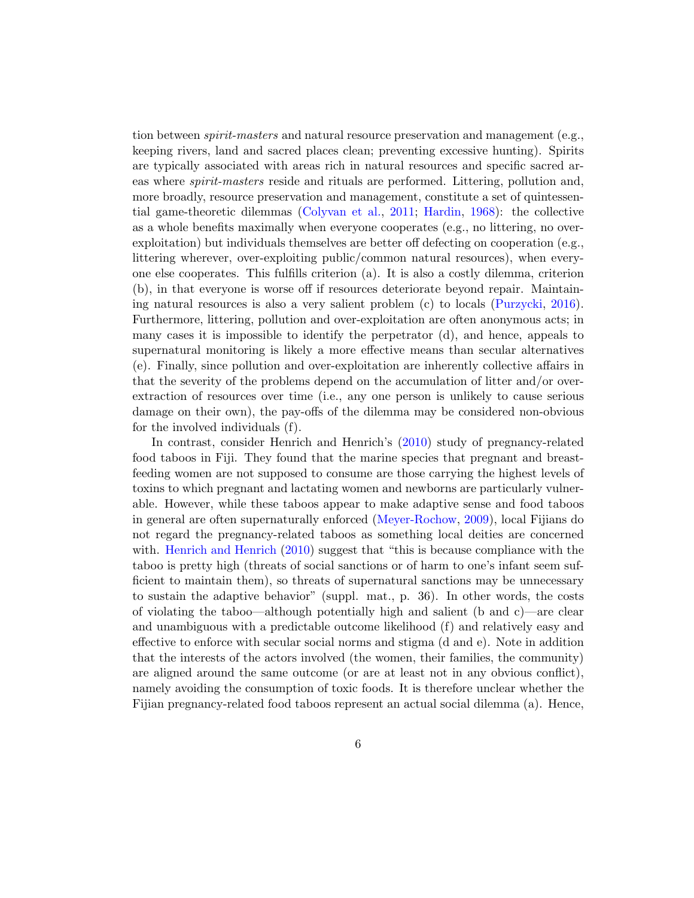tion between *spirit-masters* and natural resource preservation and management (e.g., keeping rivers, land and sacred places clean; preventing excessive hunting). Spirits are typically associated with areas rich in natural resources and specific sacred areas where spirit-masters reside and rituals are performed. Littering, pollution and, more broadly, resource preservation and management, constitute a set of quintessential game-theoretic dilemmas [\(Colyvan et al.,](#page-26-4) [2011;](#page-26-4) [Hardin,](#page-27-8) [1968\)](#page-27-8): the collective as a whole benefits maximally when everyone cooperates (e.g., no littering, no overexploitation) but individuals themselves are better off defecting on cooperation (e.g., littering wherever, over-exploiting public/common natural resources), when everyone else cooperates. This fulfills criterion (a). It is also a costly dilemma, criterion (b), in that everyone is worse off if resources deteriorate beyond repair. Maintaining natural resources is also a very salient problem (c) to locals [\(Purzycki,](#page-31-2) [2016\)](#page-31-2). Furthermore, littering, pollution and over-exploitation are often anonymous acts; in many cases it is impossible to identify the perpetrator (d), and hence, appeals to supernatural monitoring is likely a more effective means than secular alternatives (e). Finally, since pollution and over-exploitation are inherently collective affairs in that the severity of the problems depend on the accumulation of litter and/or overextraction of resources over time (i.e., any one person is unlikely to cause serious damage on their own), the pay-offs of the dilemma may be considered non-obvious for the involved individuals (f).

In contrast, consider Henrich and Henrich's [\(2010\)](#page-28-9) study of pregnancy-related food taboos in Fiji. They found that the marine species that pregnant and breastfeeding women are not supposed to consume are those carrying the highest levels of toxins to which pregnant and lactating women and newborns are particularly vulnerable. However, while these taboos appear to make adaptive sense and food taboos in general are often supernaturally enforced [\(Meyer-Rochow,](#page-29-5) [2009\)](#page-29-5), local Fijians do not regard the pregnancy-related taboos as something local deities are concerned with. [Henrich and Henrich](#page-28-9) [\(2010\)](#page-28-9) suggest that "this is because compliance with the taboo is pretty high (threats of social sanctions or of harm to one's infant seem sufficient to maintain them), so threats of supernatural sanctions may be unnecessary to sustain the adaptive behavior" (suppl. mat., p. 36). In other words, the costs of violating the taboo—although potentially high and salient (b and c)—are clear and unambiguous with a predictable outcome likelihood (f) and relatively easy and effective to enforce with secular social norms and stigma (d and e). Note in addition that the interests of the actors involved (the women, their families, the community) are aligned around the same outcome (or are at least not in any obvious conflict), namely avoiding the consumption of toxic foods. It is therefore unclear whether the Fijian pregnancy-related food taboos represent an actual social dilemma (a). Hence,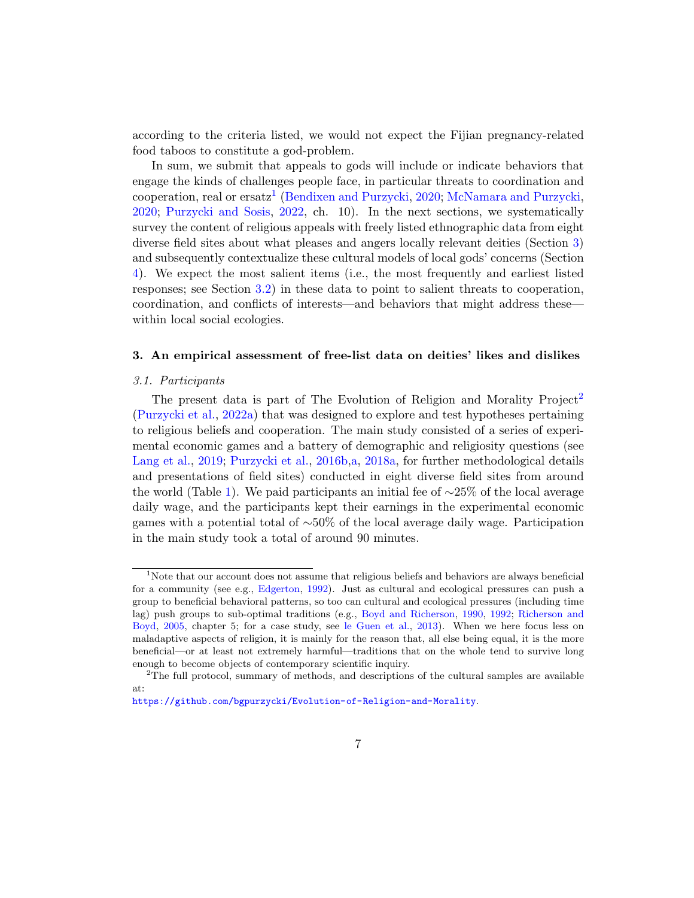according to the criteria listed, we would not expect the Fijian pregnancy-related food taboos to constitute a god-problem.

In sum, we submit that appeals to gods will include or indicate behaviors that engage the kinds of challenges people face, in particular threats to coordination and cooperation, real or ersatz<sup>[1](#page-6-1)</sup> [\(Bendixen and Purzycki,](#page-24-4) [2020;](#page-24-4) [McNamara and Purzycki,](#page-29-6) [2020;](#page-29-6) [Purzycki and Sosis,](#page-32-2) [2022,](#page-32-2) ch. 10). In the next sections, we systematically survey the content of religious appeals with freely listed ethnographic data from eight diverse field sites about what pleases and angers locally relevant deities (Section [3\)](#page-6-0) and subsequently contextualize these cultural models of local gods' concerns (Section [4\)](#page-14-0). We expect the most salient items (i.e., the most frequently and earliest listed responses; see Section [3.2\)](#page-7-0) in these data to point to salient threats to cooperation, coordination, and conflicts of interests—and behaviors that might address these within local social ecologies.

# <span id="page-6-0"></span>3. An empirical assessment of free-list data on deities' likes and dislikes

#### 3.1. Participants

The present data is part of The Evolution of Religion and Morality Project<sup>[2](#page-6-2)</sup> [\(Purzycki et al.,](#page-31-3) [2022a\)](#page-31-3) that was designed to explore and test hypotheses pertaining to religious beliefs and cooperation. The main study consisted of a series of experimental economic games and a battery of demographic and religiosity questions (see [Lang et al.,](#page-29-0) [2019;](#page-29-0) [Purzycki et al.,](#page-31-0) [2016b,](#page-31-0)[a,](#page-31-4) [2018a,](#page-31-5) for further methodological details and presentations of field sites) conducted in eight diverse field sites from around the world (Table [1\)](#page-7-1). We paid participants an initial fee of ∼25% of the local average daily wage, and the participants kept their earnings in the experimental economic games with a potential total of ∼50% of the local average daily wage. Participation in the main study took a total of around 90 minutes.

<span id="page-6-1"></span><sup>&</sup>lt;sup>1</sup>Note that our account does not assume that religious beliefs and behaviors are always beneficial for a community (see e.g., [Edgerton,](#page-26-5) [1992\)](#page-26-5). Just as cultural and ecological pressures can push a group to beneficial behavioral patterns, so too can cultural and ecological pressures (including time lag) push groups to sub-optimal traditions (e.g., [Boyd and Richerson,](#page-25-6) [1990,](#page-25-6) [1992;](#page-25-7) [Richerson and](#page-33-7) [Boyd,](#page-33-7) [2005,](#page-33-7) chapter 5; for a case study, see [le Guen et al.,](#page-27-9) [2013\)](#page-27-9). When we here focus less on maladaptive aspects of religion, it is mainly for the reason that, all else being equal, it is the more beneficial—or at least not extremely harmful—traditions that on the whole tend to survive long enough to become objects of contemporary scientific inquiry.

<span id="page-6-2"></span> $2$ The full protocol, summary of methods, and descriptions of the cultural samples are available at:

<https://github.com/bgpurzycki/Evolution-of-Religion-and-Morality>.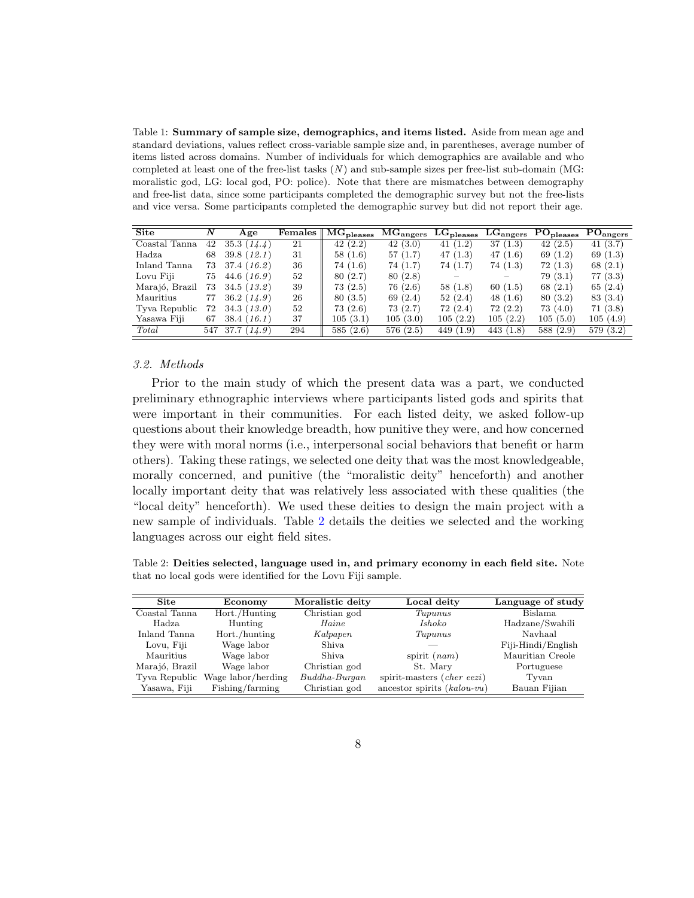<span id="page-7-1"></span>Table 1: Summary of sample size, demographics, and items listed. Aside from mean age and standard deviations, values reflect cross-variable sample size and, in parentheses, average number of items listed across domains. Number of individuals for which demographics are available and who completed at least one of the free-list tasks  $(N)$  and sub-sample sizes per free-list sub-domain (MG: moralistic god, LG: local god, PO: police). Note that there are mismatches between demography and free-list data, since some participants completed the demographic survey but not the free-lists and vice versa. Some participants completed the demographic survey but did not report their age.

| <b>Site</b>    | $\boldsymbol{N}$ | Age             | Females | $_{\shortmid}$ $\rm MG_{\rm{pleases}}$ | $\rm MG_{angers}$ | $LG_{\rm pleases}$ | $LG_{\rm angers}$ | $\mathrm{PO}_\mathrm{pleases}$ | $\rm PO_{angers}$ |
|----------------|------------------|-----------------|---------|----------------------------------------|-------------------|--------------------|-------------------|--------------------------------|-------------------|
| Coastal Tanna  | 42               | 35.3(14.4)      | 21      | 42(2.2)                                | 42(3.0)           | 41(1.2)            | 37(1.3)           | 42(2.5)                        | 41(3.7)           |
| Hadza          | 68               | 39.8(12.1)      | 31      | 58(1.6)                                | 57 (1.7)          | 47 (1.3)           | 47(1.6)           | 69 $(1.2)$                     | 69 $(1.3)$        |
| Inland Tanna   | 73               | 37.4(16.2)      | 36      | 74 (1.6)                               | 74 (1.7)          | 74 (1.7)           | 74(1.3)           | 72(1.3)                        | 68(2.1)           |
| Lovu Fiji      | 75               | 44.6 (16.9)     | 52      | 80 (2.7)                               | 80 (2.8)          |                    |                   | 79(3.1)                        | 77(3.3)           |
| Marajó, Brazil | 73               | 34.5(13.2)      | 39      | 73(2.5)                                | 76 (2.6)          | 58(1.8)            | 60(1.5)           | 68 $(2.1)$                     | 65 $(2.4)$        |
| Mauritius      | 77               | 36.2(14.9)      | 26      | 80(3.5)                                | 69 (2.4)          | 52(2.4)            | 48 $(1.6)$        | 80(3.2)                        | 83 (3.4)          |
| Tyva Republic  | 72               | 34.3(13.0)      | 52      | 73(2.6)                                | 73 (2.7)          | 72(2.4)            | 72(2.2)           | 73 (4.0)                       | 71(3.8)           |
| Yasawa Fiji    | 67               | 38.4(16.1)      | 37      | 105(3.1)                               | 105(3.0)          | 105(2.2)           | 105(2.2)          | 105(5.0)                       | 105 (4.9)         |
| Total          |                  | 547 37.7 (14.9) | 294     | 585(2.6)                               | 576(2.5)          | 449(1.9)           | 443 (1.8)         | 588 (2.9)                      | 579 (3.2)         |

## <span id="page-7-0"></span>3.2. Methods

Prior to the main study of which the present data was a part, we conducted preliminary ethnographic interviews where participants listed gods and spirits that were important in their communities. For each listed deity, we asked follow-up questions about their knowledge breadth, how punitive they were, and how concerned they were with moral norms (i.e., interpersonal social behaviors that benefit or harm others). Taking these ratings, we selected one deity that was the most knowledgeable, morally concerned, and punitive (the "moralistic deity" henceforth) and another locally important deity that was relatively less associated with these qualities (the "local deity" henceforth). We used these deities to design the main project with a new sample of individuals. Table [2](#page-7-2) details the deities we selected and the working languages across our eight field sites.

<span id="page-7-2"></span>Table 2: Deities selected, language used in, and primary economy in each field site. Note that no local gods were identified for the Lovu Fiji sample.

| <b>Site</b>    | Economy            | Moralistic deity | Local deity                       | Language of study  |
|----------------|--------------------|------------------|-----------------------------------|--------------------|
| Coastal Tanna  | Hort./Hunting      | Christian god    | Tupunus                           | Bislama            |
| Hadza.         | Hunting            | Haine            | <i>Ishoko</i>                     | Hadzane/Swahili    |
| Inland Tanna   | Hort./hunting      | Kalpapen         | Tupunus                           | Navhaal            |
| Lovu, Fiji     | Wage labor         | Shiya.           |                                   | Fiji-Hindi/English |
| Mauritius      | Wage labor         | Shiya.           | spirit $(nam)$                    | Mauritian Creole   |
| Marajó, Brazil | Wage labor         | Christian god    | St. Mary                          | Portuguese         |
| Tyva Republic  | Wage labor/herding | $Buddha-Burqan$  | spirit-masters <i>(cher eezi)</i> | Tyvan              |
| Yasawa, Fiji   | Fishing/farming    | Christian god    | ancestor spirits $(kalou-vu)$     | Bauan Fijian       |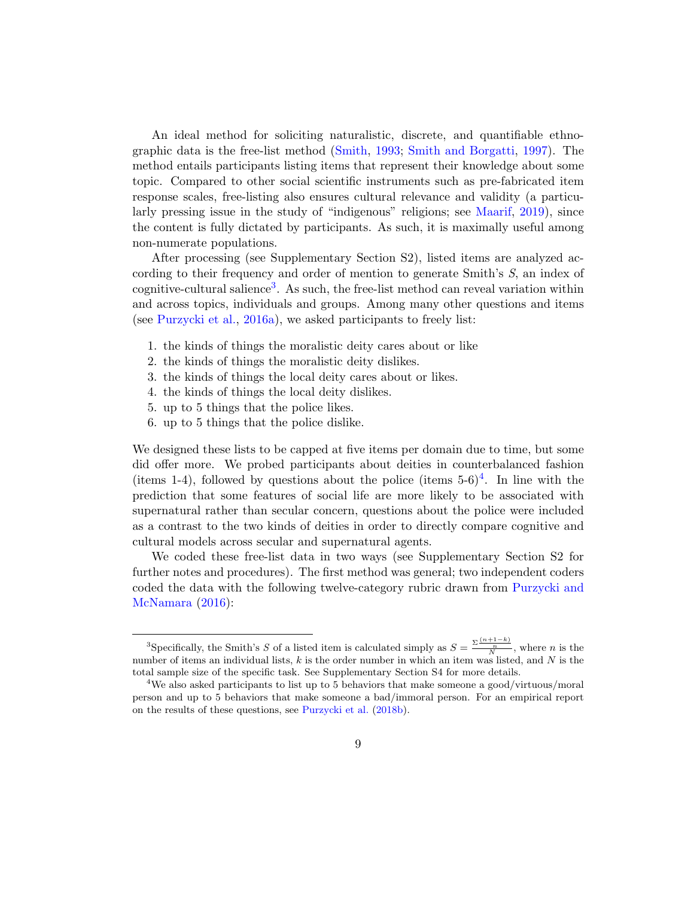An ideal method for soliciting naturalistic, discrete, and quantifiable ethnographic data is the free-list method [\(Smith,](#page-34-5) [1993;](#page-34-5) [Smith and Borgatti,](#page-34-6) [1997\)](#page-34-6). The method entails participants listing items that represent their knowledge about some topic. Compared to other social scientific instruments such as pre-fabricated item response scales, free-listing also ensures cultural relevance and validity (a particularly pressing issue in the study of "indigenous" religions; see [Maarif,](#page-29-7) [2019\)](#page-29-7), since the content is fully dictated by participants. As such, it is maximally useful among non-numerate populations.

After processing (see Supplementary Section S2), listed items are analyzed according to their frequency and order of mention to generate Smith's S, an index of cognitive-cultural salience<sup>[3](#page-8-0)</sup>. As such, the free-list method can reveal variation within and across topics, individuals and groups. Among many other questions and items (see [Purzycki et al.,](#page-31-4) [2016a\)](#page-31-4), we asked participants to freely list:

- 1. the kinds of things the moralistic deity cares about or like
- 2. the kinds of things the moralistic deity dislikes.
- 3. the kinds of things the local deity cares about or likes.
- 4. the kinds of things the local deity dislikes.
- 5. up to 5 things that the police likes.
- 6. up to 5 things that the police dislike.

We designed these lists to be capped at five items per domain due to time, but some did offer more. We probed participants about deities in counterbalanced fashion (items 1-[4](#page-8-1)), followed by questions about the police (items  $5-6$ )<sup>4</sup>. In line with the prediction that some features of social life are more likely to be associated with supernatural rather than secular concern, questions about the police were included as a contrast to the two kinds of deities in order to directly compare cognitive and cultural models across secular and supernatural agents.

We coded these free-list data in two ways (see Supplementary Section S2 for further notes and procedures). The first method was general; two independent coders coded the data with the following twelve-category rubric drawn from [Purzycki and](#page-32-1) [McNamara](#page-32-1) [\(2016\)](#page-32-1):

<span id="page-8-0"></span><sup>&</sup>lt;sup>3</sup>Specifically, the Smith's S of a listed item is calculated simply as  $S = \frac{\sum \frac{(n+1-k)}{N}}{N}$ , where n is the number of items an individual lists,  $k$  is the order number in which an item was listed, and  $N$  is the total sample size of the specific task. See Supplementary Section S4 for more details.

<span id="page-8-1"></span><sup>&</sup>lt;sup>4</sup>We also asked participants to list up to 5 behaviors that make someone a good/virtuous/moral person and up to 5 behaviors that make someone a bad/immoral person. For an empirical report on the results of these questions, see [Purzycki et al.](#page-32-7) [\(2018b\)](#page-32-7).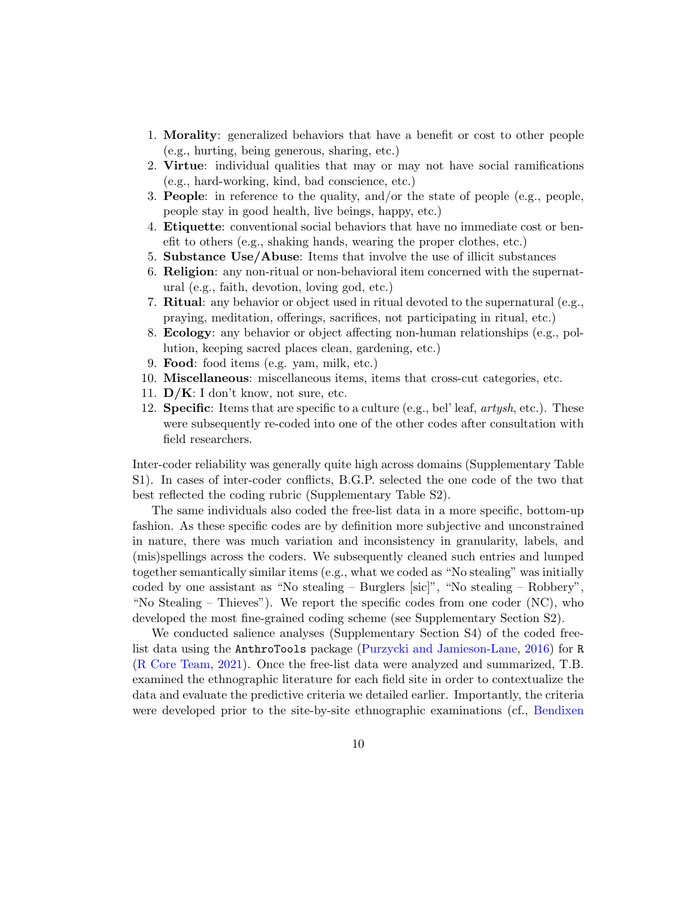- 1. Morality: generalized behaviors that have a benefit or cost to other people (e.g., hurting, being generous, sharing, etc.)
- 2. Virtue: individual qualities that may or may not have social ramifications (e.g., hard-working, kind, bad conscience, etc.)
- 3. People: in reference to the quality, and/or the state of people (e.g., people, people stay in good health, live beings, happy, etc.)
- 4. Etiquette: conventional social behaviors that have no immediate cost or benefit to others (e.g., shaking hands, wearing the proper clothes, etc.)
- 5. Substance Use/Abuse: Items that involve the use of illicit substances
- 6. Religion: any non-ritual or non-behavioral item concerned with the supernatural (e.g., faith, devotion, loving god, etc.)
- 7. **Ritual:** any behavior or object used in ritual devoted to the supernatural  $(e.g.,)$ praying, meditation, offerings, sacrifices, not participating in ritual, etc.)
- 8. Ecology: any behavior or object affecting non-human relationships (e.g., pollution, keeping sacred places clean, gardening, etc.)
- 9. Food: food items (e.g. yam, milk, etc.)
- 10. Miscellaneous: miscellaneous items, items that cross-cut categories, etc.
- 11.  $\mathbf{D}/\mathbf{K}$ : I don't know, not sure, etc.
- 12. **Specific**: Items that are specific to a culture (e.g., bel' leaf,  $artysh$ , etc.). These were subsequently re-coded into one of the other codes after consultation with field researchers.

Inter-coder reliability was generally quite high across domains (Supplementary Table S1). In cases of inter-coder conflicts, B.G.P. selected the one code of the two that best reflected the coding rubric (Supplementary Table S2).

The same individuals also coded the free-list data in a more specific, bottom-up fashion. As these specific codes are by definition more subjective and unconstrained in nature, there was much variation and inconsistency in granularity, labels, and (mis)spellings across the coders. We subsequently cleaned such entries and lumped together semantically similar items (e.g., what we coded as "No stealing" was initially coded by one assistant as "No stealing – Burglers [sic]", "No stealing – Robbery", "No Stealing – Thieves"). We report the specific codes from one coder  $(NC)$ , who developed the most fine-grained coding scheme (see Supplementary Section S2).

We conducted salience analyses (Supplementary Section S4) of the coded freelist data using the AnthroTools package [\(Purzycki and Jamieson-Lane,](#page-31-6) [2016\)](#page-31-6) for R [\(R Core Team,](#page-32-8) [2021\)](#page-32-8). Once the free-list data were analyzed and summarized, T.B. examined the ethnographic literature for each field site in order to contextualize the data and evaluate the predictive criteria we detailed earlier. Importantly, the criteria were developed prior to the site-by-site ethnographic examinations (cf., [Bendixen](#page-24-4)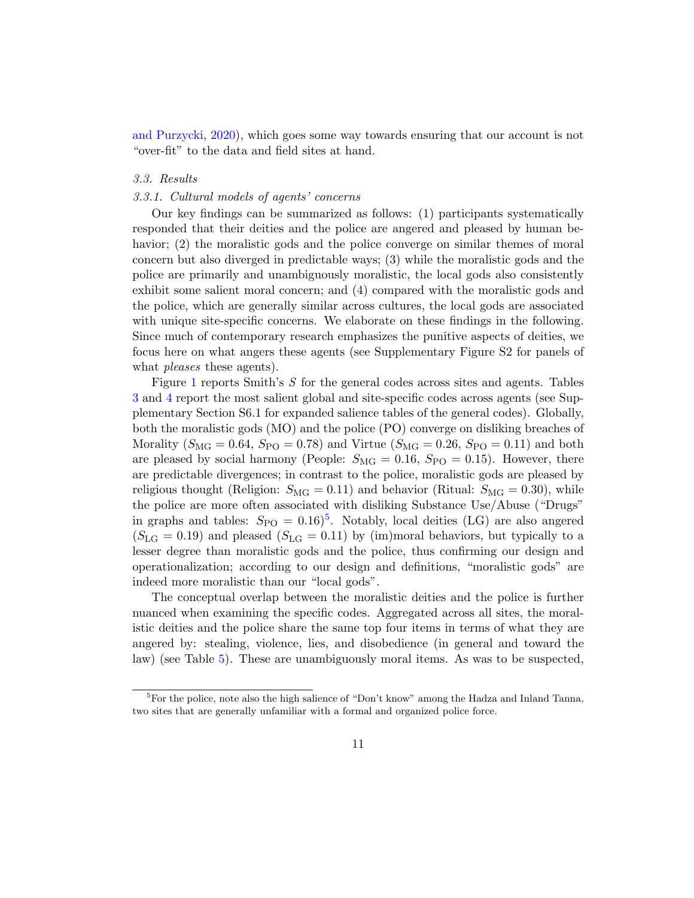[and Purzycki,](#page-24-4) [2020\)](#page-24-4), which goes some way towards ensuring that our account is not "over-fit" to the data and field sites at hand.

## 3.3. Results

#### 3.3.1. Cultural models of agents' concerns

Our key findings can be summarized as follows: (1) participants systematically responded that their deities and the police are angered and pleased by human behavior; (2) the moralistic gods and the police converge on similar themes of moral concern but also diverged in predictable ways; (3) while the moralistic gods and the police are primarily and unambiguously moralistic, the local gods also consistently exhibit some salient moral concern; and (4) compared with the moralistic gods and the police, which are generally similar across cultures, the local gods are associated with unique site-specific concerns. We elaborate on these findings in the following. Since much of contemporary research emphasizes the punitive aspects of deities, we focus here on what angers these agents (see Supplementary Figure S2 for panels of what *pleases* these agents).

Figure [1](#page-11-0) reports Smith's S for the general codes across sites and agents. Tables [3](#page-12-0) and [4](#page-13-0) report the most salient global and site-specific codes across agents (see Supplementary Section S6.1 for expanded salience tables of the general codes). Globally, both the moralistic gods (MO) and the police (PO) converge on disliking breaches of Morality  $(S_{\text{MG}} = 0.64, S_{\text{PO}} = 0.78)$  and Virtue  $(S_{\text{MG}} = 0.26, S_{\text{PO}} = 0.11)$  and both are pleased by social harmony (People:  $S_{\text{MG}} = 0.16$ ,  $S_{\text{PO}} = 0.15$ ). However, there are predictable divergences; in contrast to the police, moralistic gods are pleased by religious thought (Religion:  $S_{\text{MG}} = 0.11$ ) and behavior (Ritual:  $S_{\text{MG}} = 0.30$ ), while the police are more often associated with disliking Substance Use/Abuse ("Drugs" in graphs and tables:  $S_{PO} = 0.16$ <sup>[5](#page-10-0)</sup>. Notably, local deities (LG) are also angered  $(S_{LG} = 0.19)$  and pleased  $(S_{LG} = 0.11)$  by (im)moral behaviors, but typically to a lesser degree than moralistic gods and the police, thus confirming our design and operationalization; according to our design and definitions, "moralistic gods" are indeed more moralistic than our "local gods".

The conceptual overlap between the moralistic deities and the police is further nuanced when examining the specific codes. Aggregated across all sites, the moralistic deities and the police share the same top four items in terms of what they are angered by: stealing, violence, lies, and disobedience (in general and toward the law) (see Table [5\)](#page-13-1). These are unambiguously moral items. As was to be suspected,

<span id="page-10-0"></span> ${}^{5}$  For the police, note also the high salience of "Don't know" among the Hadza and Inland Tanna, two sites that are generally unfamiliar with a formal and organized police force.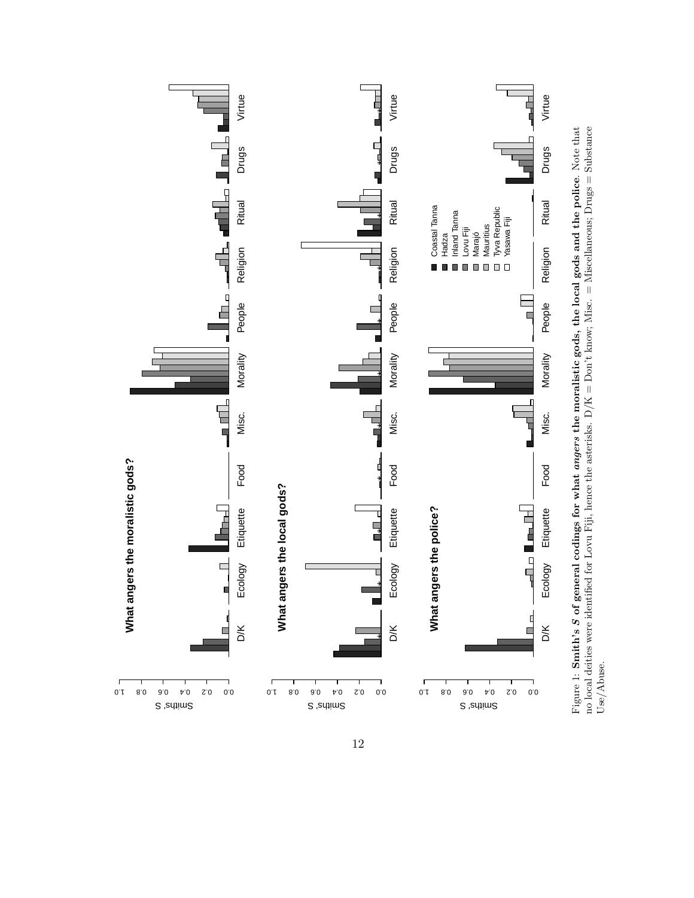<span id="page-11-0"></span>

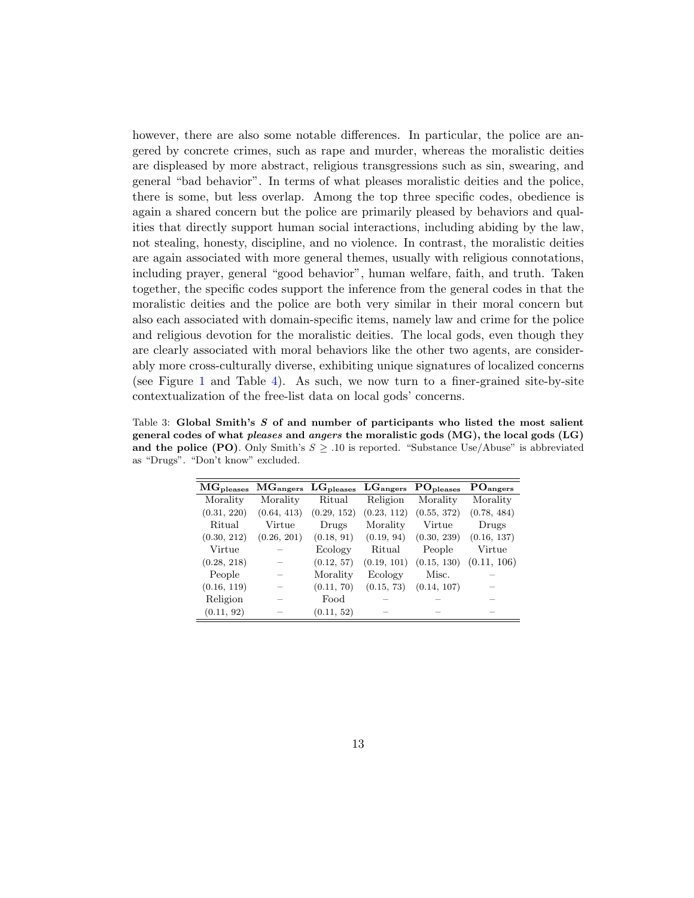however, there are also some notable differences. In particular, the police are angered by concrete crimes, such as rape and murder, whereas the moralistic deities are displeased by more abstract, religious transgressions such as sin, swearing, and general "bad behavior". In terms of what pleases moralistic deities and the police, there is some, but less overlap. Among the top three specific codes, obedience is again a shared concern but the police are primarily pleased by behaviors and qualities that directly support human social interactions, including abiding by the law, not stealing, honesty, discipline, and no violence. In contrast, the moralistic deities are again associated with more general themes, usually with religious connotations, including prayer, general "good behavior", human welfare, faith, and truth. Taken together, the specific codes support the inference from the general codes in that the moralistic deities and the police are both very similar in their moral concern but also each associated with domain-specific items, namely law and crime for the police and religious devotion for the moralistic deities. The local gods, even though they are clearly associated with moral behaviors like the other two agents, are considerably more cross-culturally diverse, exhibiting unique signatures of localized concerns (see Figure [1](#page-11-0) and Table [4\)](#page-13-0). As such, we now turn to a finer-grained site-by-site contextualization of the free-list data on local gods' concerns.

<span id="page-12-0"></span>Table 3: Global Smith's  $S$  of and number of participants who listed the most salient general codes of what pleases and angers the moralistic gods (MG), the local gods (LG) and the police (PO). Only Smith's  $S \geq .10$  is reported. "Substance Use/Abuse" is abbreviated as "Drugs". "Don't know" excluded.

| $MG_{\rm pleases}$ | MG <sub>angers</sub> | $LG_{\text{pleases}}$ $LG_{\text{angers}}$ |             | $PO_{\text{pleases}}$ | PO <sub>angers</sub> |
|--------------------|----------------------|--------------------------------------------|-------------|-----------------------|----------------------|
| Morality           | Morality             | Ritual                                     | Religion    | Morality              | Morality             |
| (0.31, 220)        | (0.64, 413)          | (0.29, 152)                                | (0.23, 112) | (0.55, 372)           | (0.78, 484)          |
| Ritual             | Virtue               | Drugs                                      | Morality    | Virtue                | Drugs                |
| (0.30, 212)        | (0.26, 201)          | (0.18, 91)                                 | (0.19, 94)  | (0.30, 239)           | (0.16, 137)          |
| Virtue             |                      | Ecology                                    | Ritual      | People                | Virtue               |
| (0.28, 218)        |                      | (0.12, 57)                                 | (0.19, 101) | (0.15, 130)           | (0.11, 106)          |
| People             |                      | Morality                                   | Ecology     | Misc.                 |                      |
| (0.16, 119)        |                      | (0.11, 70)                                 | (0.15, 73)  | (0.14, 107)           |                      |
| Religion           |                      | Food                                       |             |                       |                      |
| (0.11, 92)         |                      | (0.11, 52)                                 |             |                       |                      |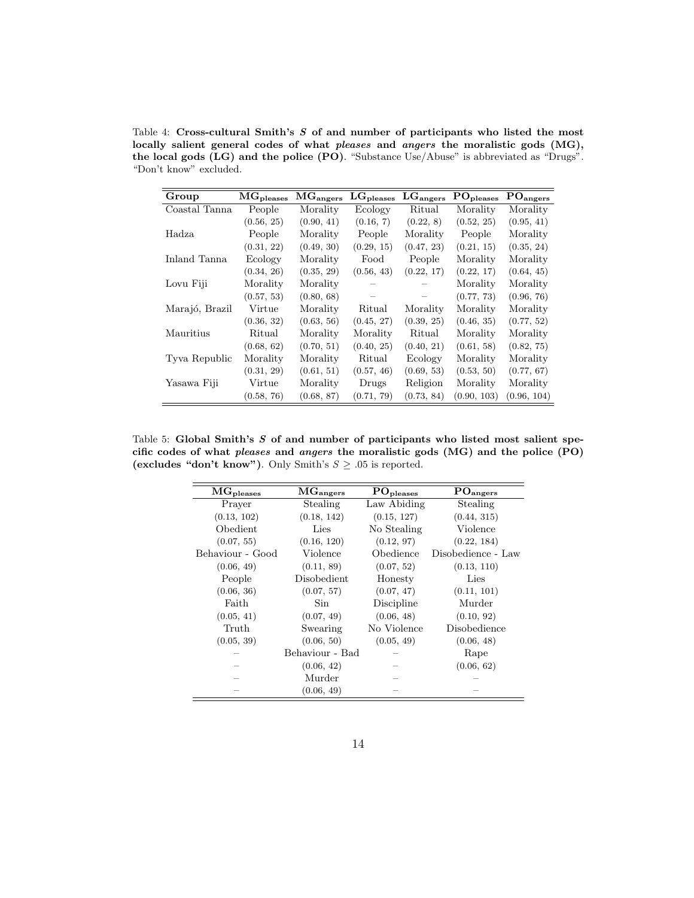<span id="page-13-0"></span>Table 4: Cross-cultural Smith's S of and number of participants who listed the most locally salient general codes of what pleases and angers the moralistic gods (MG), the local gods (LG) and the police (PO). "Substance Use/Abuse" is abbreviated as "Drugs". "Don't know" excluded.

| Group          | $MG_{\rm pleases}$ | MG <sub>angers</sub> | $LG_{\text{pleases}}$ | $LG_{\text{angers}}$ | PO <sub>pleases</sub> | PO <sub>angers</sub> |
|----------------|--------------------|----------------------|-----------------------|----------------------|-----------------------|----------------------|
| Coastal Tanna  | People             | Morality             | Ecology               | Ritual               | Morality              | Morality             |
|                | (0.56, 25)         | (0.90, 41)           | (0.16, 7)             | (0.22, 8)            | (0.52, 25)            | (0.95, 41)           |
| Hadza          | People             | Morality             | People                | Morality             | People                | Morality             |
|                | (0.31, 22)         | (0.49, 30)           | (0.29, 15)            | (0.47, 23)           | (0.21, 15)            | (0.35, 24)           |
| Inland Tanna   | Ecology            | Morality             | Food                  | People               | Morality              | Morality             |
|                | (0.34, 26)         | (0.35, 29)           | (0.56, 43)            | (0.22, 17)           | (0.22, 17)            | (0.64, 45)           |
| Lovu Fiji      | Morality           | Morality             |                       |                      | Morality              | Morality             |
|                | (0.57, 53)         | (0.80, 68)           |                       |                      | (0.77, 73)            | (0.96, 76)           |
| Marajó, Brazil | Virtue             | Morality             | Ritual                | Morality             | Morality              | Morality             |
|                | (0.36, 32)         | (0.63, 56)           | (0.45, 27)            | (0.39, 25)           | (0.46, 35)            | (0.77, 52)           |
| Mauritius      | Ritual             | Morality             | Morality              | Ritual               | Morality              | Morality             |
|                | (0.68, 62)         | (0.70, 51)           | (0.40, 25)            | (0.40, 21)           | (0.61, 58)            | (0.82, 75)           |
| Tyva Republic  | Morality           | Morality             | Ritual                | Ecology              | Morality              | Morality             |
|                | (0.31, 29)         | (0.61, 51)           | (0.57, 46)            | (0.69, 53)           | (0.53, 50)            | (0.77, 67)           |
| Yasawa Fiji    | Virtue             | Morality             | Drugs                 | Religion             | Morality              | Morality             |
|                | (0.58, 76)         | (0.68, 87)           | (0.71, 79)            | (0.73, 84)           | (0.90, 103)           | (0.96, 104)          |

<span id="page-13-1"></span>Table 5: Global Smith's  $S$  of and number of participants who listed most salient specific codes of what pleases and angers the moralistic gods (MG) and the police (PO) (excludes "don't know"). Only Smith's  $S \ge .05$  is reported.

| $\rm\overline{MG}_{\text{pleases}}$ | $\rm\overline{MG}_{angers}$ | $\rm PO_{\rm p{{\rm{leases}}}}$ | $\rm PO_{angers}$  |  |
|-------------------------------------|-----------------------------|---------------------------------|--------------------|--|
| Prayer                              | Stealing                    | Law Abiding                     | Stealing           |  |
| (0.13, 102)                         | (0.18, 142)                 | (0.15, 127)                     | (0.44, 315)        |  |
| Obedient                            | Lies                        | No Stealing                     | Violence           |  |
| (0.07, 55)                          | (0.16, 120)                 | (0.12, 97)                      | (0.22, 184)        |  |
| Behaviour - Good                    | Violence                    | Obedience                       | Disobedience - Law |  |
| (0.06, 49)                          | (0.11, 89)                  | (0.07, 52)                      | (0.13, 110)        |  |
| People                              | Disobedient                 | Honesty                         | Lies               |  |
| (0.06, 36)                          | (0.07, 57)                  | (0.07, 47)                      | (0.11, 101)        |  |
| Faith                               | Sin.                        | Discipline                      | Murder             |  |
| (0.05, 41)                          | (0.07, 49)                  | (0.06, 48)                      | (0.10, 92)         |  |
| Truth                               | Swearing                    | No Violence                     | Disobedience       |  |
| (0.05, 39)                          | (0.06, 50)                  | (0.05, 49)                      | (0.06, 48)         |  |
|                                     | Behaviour - Bad             |                                 | Rape               |  |
|                                     | (0.06, 42)                  |                                 | (0.06, 62)         |  |
|                                     | Murder                      |                                 |                    |  |
|                                     | (0.06, 49)                  |                                 |                    |  |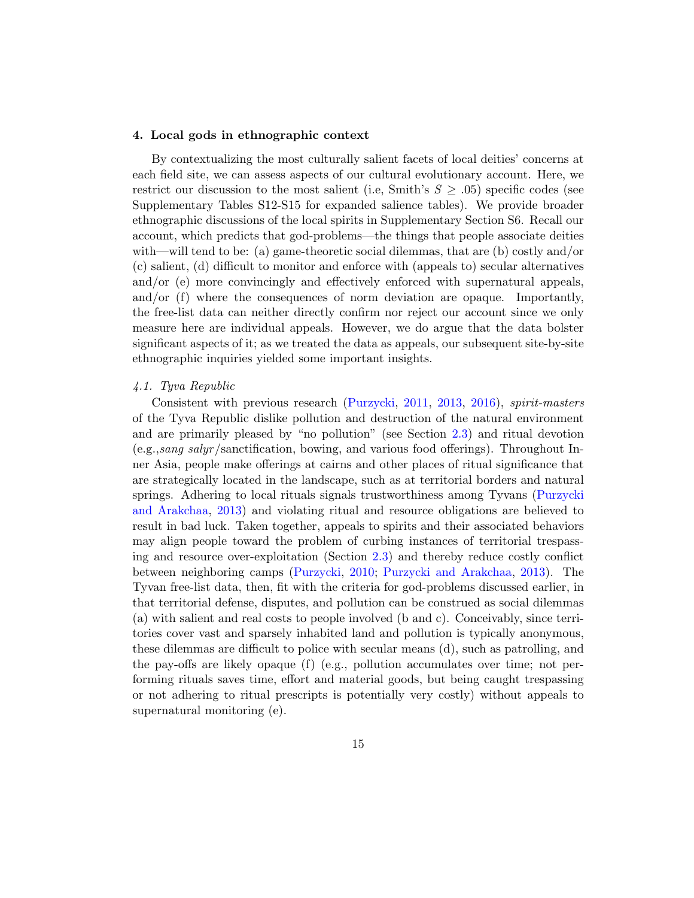#### <span id="page-14-0"></span>4. Local gods in ethnographic context

By contextualizing the most culturally salient facets of local deities' concerns at each field site, we can assess aspects of our cultural evolutionary account. Here, we restrict our discussion to the most salient (i.e., Smith's  $S \geq .05$ ) specific codes (see Supplementary Tables S12-S15 for expanded salience tables). We provide broader ethnographic discussions of the local spirits in Supplementary Section S6. Recall our account, which predicts that god-problems—the things that people associate deities with—will tend to be: (a) game-theoretic social dilemmas, that are (b) costly and/or (c) salient, (d) difficult to monitor and enforce with (appeals to) secular alternatives and/or (e) more convincingly and effectively enforced with supernatural appeals, and/or (f) where the consequences of norm deviation are opaque. Importantly, the free-list data can neither directly confirm nor reject our account since we only measure here are individual appeals. However, we do argue that the data bolster significant aspects of it; as we treated the data as appeals, our subsequent site-by-site ethnographic inquiries yielded some important insights.

## 4.1. Tyva Republic

Consistent with previous research [\(Purzycki,](#page-30-2) [2011,](#page-30-2) [2013,](#page-31-1) [2016\)](#page-31-2), spirit-masters of the Tyva Republic dislike pollution and destruction of the natural environment and are primarily pleased by "no pollution" (see Section [2.3\)](#page-4-0) and ritual devotion (e.g.,sang salyr/sanctification, bowing, and various food offerings). Throughout Inner Asia, people make offerings at cairns and other places of ritual significance that are strategically located in the landscape, such as at territorial borders and natural springs. Adhering to local rituals signals trustworthiness among Tyvans [\(Purzycki](#page-31-7) [and Arakchaa,](#page-31-7) [2013\)](#page-31-7) and violating ritual and resource obligations are believed to result in bad luck. Taken together, appeals to spirits and their associated behaviors may align people toward the problem of curbing instances of territorial trespassing and resource over-exploitation (Section [2.3\)](#page-4-0) and thereby reduce costly conflict between neighboring camps [\(Purzycki,](#page-30-7) [2010;](#page-30-7) [Purzycki and Arakchaa,](#page-31-7) [2013\)](#page-31-7). The Tyvan free-list data, then, fit with the criteria for god-problems discussed earlier, in that territorial defense, disputes, and pollution can be construed as social dilemmas (a) with salient and real costs to people involved (b and c). Conceivably, since territories cover vast and sparsely inhabited land and pollution is typically anonymous, these dilemmas are difficult to police with secular means (d), such as patrolling, and the pay-offs are likely opaque (f) (e.g., pollution accumulates over time; not performing rituals saves time, effort and material goods, but being caught trespassing or not adhering to ritual prescripts is potentially very costly) without appeals to supernatural monitoring (e).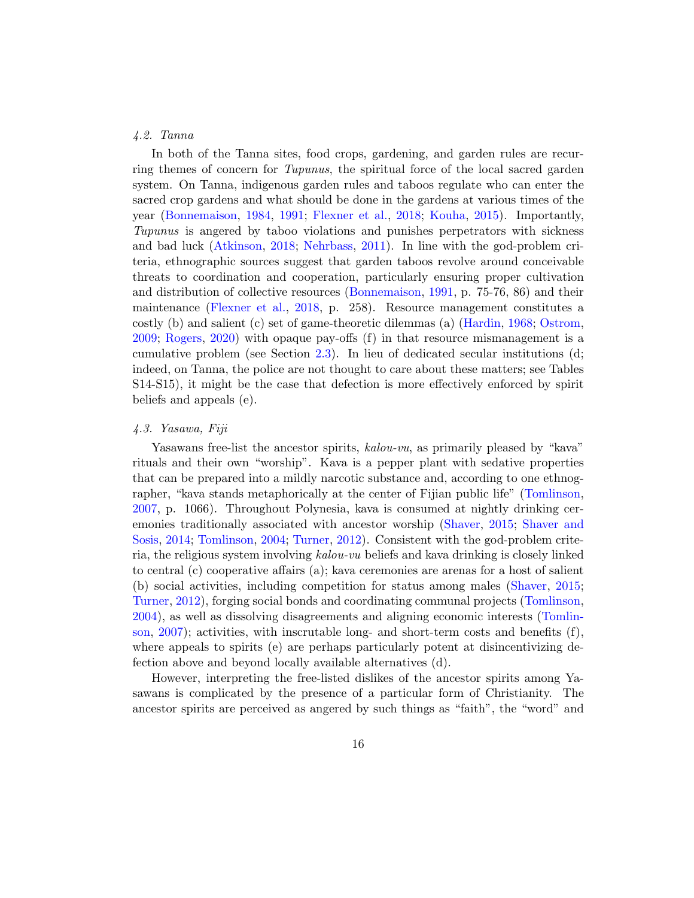## <span id="page-15-0"></span>4.2. Tanna

In both of the Tanna sites, food crops, gardening, and garden rules are recurring themes of concern for Tupunus, the spiritual force of the local sacred garden system. On Tanna, indigenous garden rules and taboos regulate who can enter the sacred crop gardens and what should be done in the gardens at various times of the year [\(Bonnemaison,](#page-25-8) [1984,](#page-25-8) [1991;](#page-25-9) [Flexner et al.,](#page-27-10) [2018;](#page-27-10) [Kouha,](#page-28-10) [2015\)](#page-28-10). Importantly, Tupunus is angered by taboo violations and punishes perpetrators with sickness and bad luck [\(Atkinson,](#page-23-1) [2018;](#page-23-1) [Nehrbass,](#page-30-8) [2011\)](#page-30-8). In line with the god-problem criteria, ethnographic sources suggest that garden taboos revolve around conceivable threats to coordination and cooperation, particularly ensuring proper cultivation and distribution of collective resources [\(Bonnemaison,](#page-25-9) [1991,](#page-25-9) p. 75-76, 86) and their maintenance [\(Flexner et al.,](#page-27-10) [2018,](#page-27-10) p. 258). Resource management constitutes a costly (b) and salient (c) set of game-theoretic dilemmas (a) [\(Hardin,](#page-27-8) [1968;](#page-27-8) [Ostrom,](#page-30-9) [2009;](#page-30-9) [Rogers,](#page-33-8) [2020\)](#page-33-8) with opaque pay-offs (f) in that resource mismanagement is a cumulative problem (see Section [2.3\)](#page-4-0). In lieu of dedicated secular institutions (d; indeed, on Tanna, the police are not thought to care about these matters; see Tables S14-S15), it might be the case that defection is more effectively enforced by spirit beliefs and appeals (e).

## <span id="page-15-1"></span>4.3. Yasawa, Fiji

Yasawans free-list the ancestor spirits,  $kalou-vu$ , as primarily pleased by "kava" rituals and their own "worship". Kava is a pepper plant with sedative properties that can be prepared into a mildly narcotic substance and, according to one ethnographer, "kava stands metaphorically at the center of Fijian public life" [\(Tomlinson,](#page-35-4) [2007,](#page-35-4) p. 1066). Throughout Polynesia, kava is consumed at nightly drinking ceremonies traditionally associated with ancestor worship [\(Shaver,](#page-33-9) [2015;](#page-33-9) [Shaver and](#page-33-10) [Sosis,](#page-33-10) [2014;](#page-33-10) [Tomlinson,](#page-35-5) [2004;](#page-35-5) [Turner,](#page-35-6) [2012\)](#page-35-6). Consistent with the god-problem criteria, the religious system involving kalou-vu beliefs and kava drinking is closely linked to central (c) cooperative affairs (a); kava ceremonies are arenas for a host of salient (b) social activities, including competition for status among males [\(Shaver,](#page-33-9) [2015;](#page-33-9) [Turner,](#page-35-6) [2012\)](#page-35-6), forging social bonds and coordinating communal projects [\(Tomlinson,](#page-35-5) [2004\)](#page-35-5), as well as dissolving disagreements and aligning economic interests [\(Tomlin](#page-35-4)[son,](#page-35-4) [2007\)](#page-35-4); activities, with inscrutable long- and short-term costs and benefits (f), where appeals to spirits (e) are perhaps particularly potent at disincentivizing defection above and beyond locally available alternatives (d).

However, interpreting the free-listed dislikes of the ancestor spirits among Yasawans is complicated by the presence of a particular form of Christianity. The ancestor spirits are perceived as angered by such things as "faith", the "word" and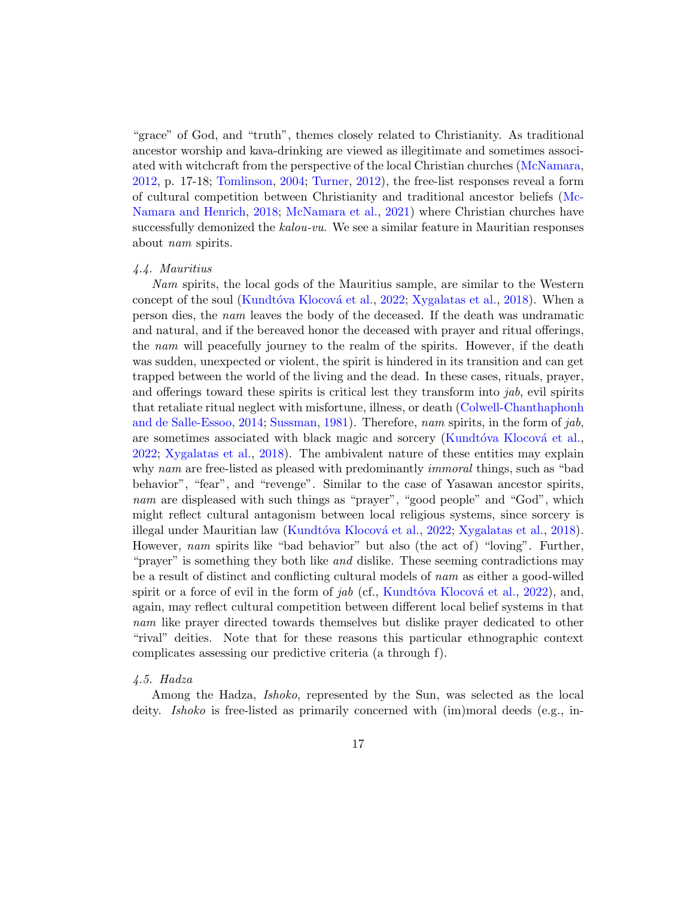"grace" of God, and "truth", themes closely related to Christianity. As traditional ancestor worship and kava-drinking are viewed as illegitimate and sometimes associated with witchcraft from the perspective of the local Christian churches [\(McNamara,](#page-29-8) [2012,](#page-29-8) p. 17-18; [Tomlinson,](#page-35-5) [2004;](#page-35-5) [Turner,](#page-35-6) [2012\)](#page-35-6), the free-list responses reveal a form of cultural competition between Christianity and traditional ancestor beliefs [\(Mc-](#page-29-1)[Namara and Henrich,](#page-29-1) [2018;](#page-29-1) [McNamara et al.,](#page-29-2) [2021\)](#page-29-2) where Christian churches have successfully demonized the kalou-vu. We see a similar feature in Mauritian responses about nam spirits.

## <span id="page-16-0"></span>4.4. Mauritius

Nam spirits, the local gods of the Mauritius sample, are similar to the Western concept of the soul (Kundtóva Klocová et al., [2022;](#page-28-11) [Xygalatas et al.,](#page-35-7) [2018\)](#page-35-7). When a person dies, the nam leaves the body of the deceased. If the death was undramatic and natural, and if the bereaved honor the deceased with prayer and ritual offerings, the nam will peacefully journey to the realm of the spirits. However, if the death was sudden, unexpected or violent, the spirit is hindered in its transition and can get trapped between the world of the living and the dead. In these cases, rituals, prayer, and offerings toward these spirits is critical lest they transform into  $jab$ , evil spirits that retaliate ritual neglect with misfortune, illness, or death [\(Colwell-Chanthaphonh](#page-26-6) [and de Salle-Essoo,](#page-26-6) [2014;](#page-26-6) [Sussman,](#page-35-8) [1981\)](#page-35-8). Therefore, nam spirits, in the form of jab, are sometimes associated with black magic and sorcery (Kundtóva Klocová et al., [2022;](#page-28-11) [Xygalatas et al.,](#page-35-7) [2018\)](#page-35-7). The ambivalent nature of these entities may explain why nam are free-listed as pleased with predominantly *immoral* things, such as "bad behavior", "fear", and "revenge". Similar to the case of Yasawan ancestor spirits, nam are displeased with such things as "prayer", "good people" and "God", which might reflect cultural antagonism between local religious systems, since sorcery is illegal under Mauritian law (Kundtóva Klocová et al., [2022;](#page-28-11) [Xygalatas et al.,](#page-35-7) [2018\)](#page-35-7). However, nam spirits like "bad behavior" but also (the act of) "loving". Further, "prayer" is something they both like *and* dislike. These seeming contradictions may be a result of distinct and conflicting cultural models of nam as either a good-willed spirit or a force of evil in the form of  $jab$  (cf., Kundtóva Klocová et al., [2022\)](#page-28-11), and, again, may reflect cultural competition between different local belief systems in that nam like prayer directed towards themselves but dislike prayer dedicated to other "rival" deities. Note that for these reasons this particular ethnographic context complicates assessing our predictive criteria (a through f).

## 4.5. Hadza

Among the Hadza, *Ishoko*, represented by the Sun, was selected as the local deity. *Ishoko* is free-listed as primarily concerned with (im)moral deeds (e.g., in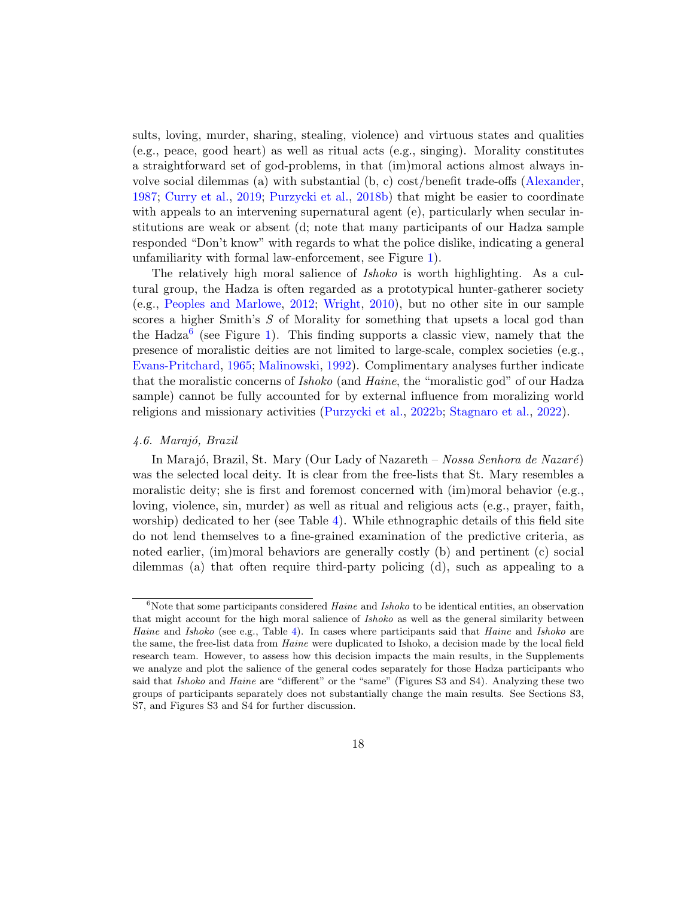sults, loving, murder, sharing, stealing, violence) and virtuous states and qualities (e.g., peace, good heart) as well as ritual acts (e.g., singing). Morality constitutes a straightforward set of god-problems, in that (im)moral actions almost always involve social dilemmas (a) with substantial (b, c) cost/benefit trade-offs [\(Alexander,](#page-23-2) [1987;](#page-23-2) [Curry et al.,](#page-26-7) [2019;](#page-26-7) [Purzycki et al.,](#page-32-7) [2018b\)](#page-32-7) that might be easier to coordinate with appeals to an intervening supernatural agent (e), particularly when secular institutions are weak or absent (d; note that many participants of our Hadza sample responded "Don't know" with regards to what the police dislike, indicating a general unfamiliarity with formal law-enforcement, see Figure [1\)](#page-11-0).

The relatively high moral salience of Ishoko is worth highlighting. As a cultural group, the Hadza is often regarded as a prototypical hunter-gatherer society (e.g., [Peoples and Marlowe,](#page-30-1) [2012;](#page-30-1) [Wright,](#page-35-9) [2010\)](#page-35-9), but no other site in our sample scores a higher Smith's S of Morality for something that upsets a local god than the Hadza<sup>[6](#page-17-0)</sup> (see Figure [1\)](#page-11-0). This finding supports a classic view, namely that the presence of moralistic deities are not limited to large-scale, complex societies (e.g., [Evans-Pritchard,](#page-27-3) [1965;](#page-27-3) [Malinowski,](#page-29-9) [1992\)](#page-29-9). Complimentary analyses further indicate that the moralistic concerns of *Ishoko* (and *Haine*, the "moralistic god" of our Hadza sample) cannot be fully accounted for by external influence from moralizing world religions and missionary activities [\(Purzycki et al.,](#page-32-9) [2022b;](#page-32-9) [Stagnaro et al.,](#page-34-7) [2022\)](#page-34-7).

## 4.6. Marajó, Brazil

In Marajó, Brazil, St. Mary (Our Lady of Nazareth – Nossa Senhora de Nazaré) was the selected local deity. It is clear from the free-lists that St. Mary resembles a moralistic deity; she is first and foremost concerned with  $(im)$  moral behavior (e.g., loving, violence, sin, murder) as well as ritual and religious acts (e.g., prayer, faith, worship) dedicated to her (see Table [4\)](#page-13-0). While ethnographic details of this field site do not lend themselves to a fine-grained examination of the predictive criteria, as noted earlier, (im)moral behaviors are generally costly (b) and pertinent (c) social dilemmas (a) that often require third-party policing (d), such as appealing to a

<span id="page-17-0"></span> $6N$ ote that some participants considered Haine and Ishoko to be identical entities, an observation that might account for the high moral salience of *Ishoko* as well as the general similarity between Haine and Ishoko (see e.g., Table [4\)](#page-13-0). In cases where participants said that Haine and Ishoko are the same, the free-list data from Haine were duplicated to Ishoko, a decision made by the local field research team. However, to assess how this decision impacts the main results, in the Supplements we analyze and plot the salience of the general codes separately for those Hadza participants who said that *Ishoko* and *Haine* are "different" or the "same" (Figures S3 and S4). Analyzing these two groups of participants separately does not substantially change the main results. See Sections S3, S7, and Figures S3 and S4 for further discussion.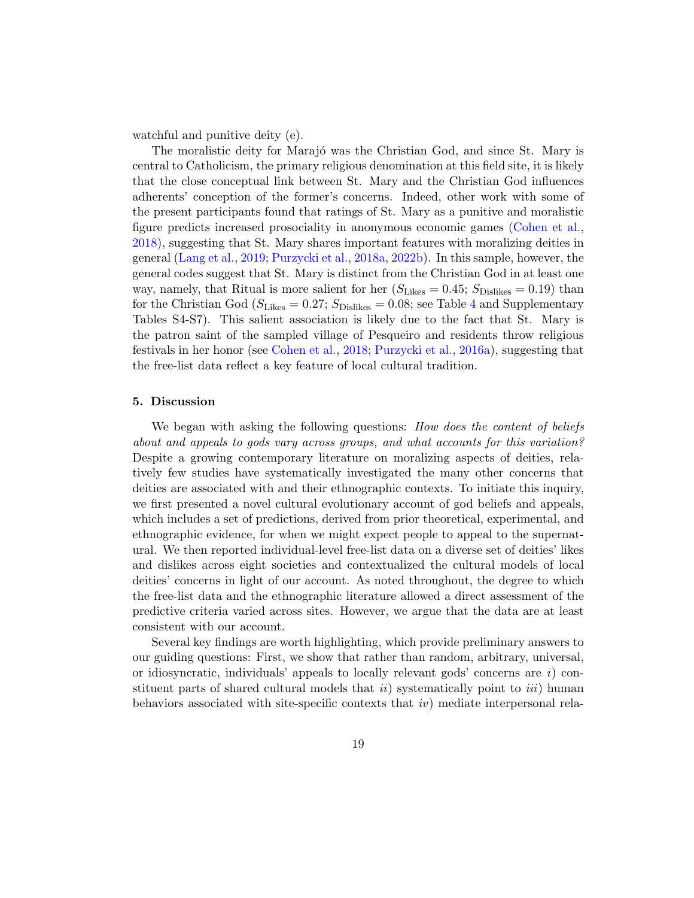watchful and punitive deity (e).

The moralistic deity for Marajó was the Christian God, and since St. Mary is central to Catholicism, the primary religious denomination at this field site, it is likely that the close conceptual link between St. Mary and the Christian God influences adherents' conception of the former's concerns. Indeed, other work with some of the present participants found that ratings of St. Mary as a punitive and moralistic figure predicts increased prosociality in anonymous economic games [\(Cohen et al.,](#page-26-8) [2018\)](#page-26-8), suggesting that St. Mary shares important features with moralizing deities in general [\(Lang et al.,](#page-29-0) [2019;](#page-29-0) [Purzycki et al.,](#page-31-5) [2018a,](#page-31-5) [2022b\)](#page-32-9). In this sample, however, the general codes suggest that St. Mary is distinct from the Christian God in at least one way, namely, that Ritual is more salient for her  $(S_{\text{Likes}} = 0.45; S_{\text{Dislikes}} = 0.19)$  than for the Christian God ( $S_{\text{Likes}} = 0.27$ ;  $S_{\text{Dislikes}} = 0.08$ ; see Table [4](#page-13-0) and Supplementary Tables S4-S7). This salient association is likely due to the fact that St. Mary is the patron saint of the sampled village of Pesqueiro and residents throw religious festivals in her honor (see [Cohen et al.,](#page-26-8) [2018;](#page-26-8) [Purzycki et al.,](#page-31-4) [2016a\)](#page-31-4), suggesting that the free-list data reflect a key feature of local cultural tradition.

# <span id="page-18-0"></span>5. Discussion

We began with asking the following questions: *How does the content of beliefs* about and appeals to gods vary across groups, and what accounts for this variation? Despite a growing contemporary literature on moralizing aspects of deities, relatively few studies have systematically investigated the many other concerns that deities are associated with and their ethnographic contexts. To initiate this inquiry, we first presented a novel cultural evolutionary account of god beliefs and appeals, which includes a set of predictions, derived from prior theoretical, experimental, and ethnographic evidence, for when we might expect people to appeal to the supernatural. We then reported individual-level free-list data on a diverse set of deities' likes and dislikes across eight societies and contextualized the cultural models of local deities' concerns in light of our account. As noted throughout, the degree to which the free-list data and the ethnographic literature allowed a direct assessment of the predictive criteria varied across sites. However, we argue that the data are at least consistent with our account.

Several key findings are worth highlighting, which provide preliminary answers to our guiding questions: First, we show that rather than random, arbitrary, universal, or idiosyncratic, individuals' appeals to locally relevant gods' concerns are  $i)$  constituent parts of shared cultural models that  $ii)$  systematically point to  $iii)$  human behaviors associated with site-specific contexts that iv) mediate interpersonal rela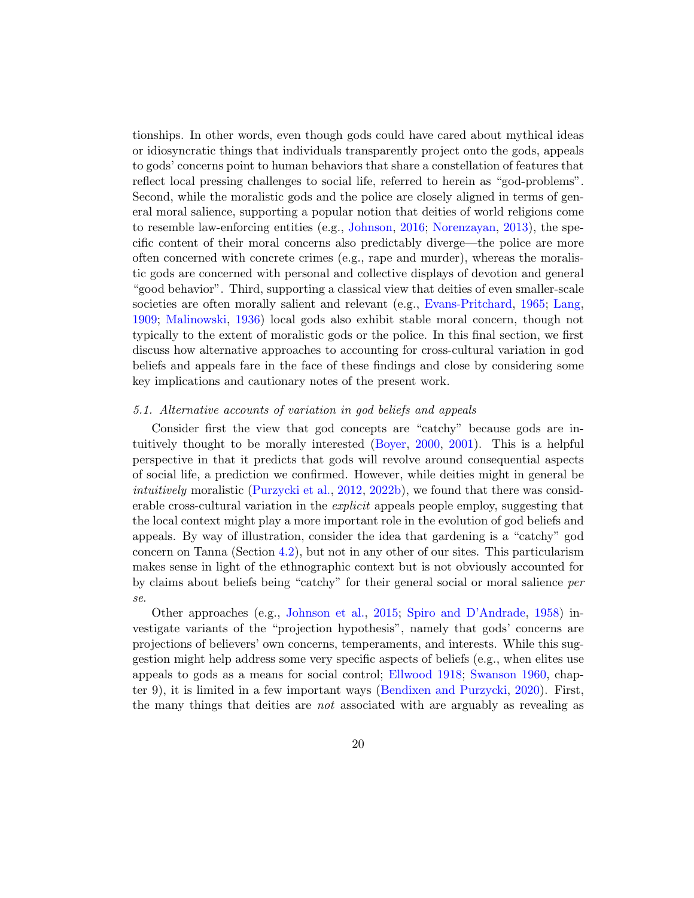tionships. In other words, even though gods could have cared about mythical ideas or idiosyncratic things that individuals transparently project onto the gods, appeals to gods' concerns point to human behaviors that share a constellation of features that reflect local pressing challenges to social life, referred to herein as "god-problems". Second, while the moralistic gods and the police are closely aligned in terms of general moral salience, supporting a popular notion that deities of world religions come to resemble law-enforcing entities (e.g., [Johnson,](#page-28-3) [2016;](#page-28-3) [Norenzayan,](#page-30-10) [2013\)](#page-30-10), the specific content of their moral concerns also predictably diverge—the police are more often concerned with concrete crimes (e.g., rape and murder), whereas the moralistic gods are concerned with personal and collective displays of devotion and general "good behavior". Third, supporting a classical view that deities of even smaller-scale societies are often morally salient and relevant (e.g., [Evans-Pritchard,](#page-27-3) [1965;](#page-27-3) [Lang,](#page-28-4) [1909;](#page-28-4) [Malinowski,](#page-29-10) [1936\)](#page-29-10) local gods also exhibit stable moral concern, though not typically to the extent of moralistic gods or the police. In this final section, we first discuss how alternative approaches to accounting for cross-cultural variation in god beliefs and appeals fare in the face of these findings and close by considering some key implications and cautionary notes of the present work.

# 5.1. Alternative accounts of variation in god beliefs and appeals

Consider first the view that god concepts are "catchy" because gods are intuitively thought to be morally interested [\(Boyer,](#page-25-1) [2000,](#page-25-1) [2001\)](#page-25-2). This is a helpful perspective in that it predicts that gods will revolve around consequential aspects of social life, a prediction we confirmed. However, while deities might in general be intuitively moralistic [\(Purzycki et al.,](#page-31-8) [2012,](#page-31-8) [2022b\)](#page-32-9), we found that there was considerable cross-cultural variation in the *explicit* appeals people employ, suggesting that the local context might play a more important role in the evolution of god beliefs and appeals. By way of illustration, consider the idea that gardening is a "catchy" god concern on Tanna (Section [4.2\)](#page-15-0), but not in any other of our sites. This particularism makes sense in light of the ethnographic context but is not obviously accounted for by claims about beliefs being "catchy" for their general social or moral salience per se.

Other approaches (e.g., [Johnson et al.,](#page-28-1) [2015;](#page-28-1) [Spiro and D'Andrade,](#page-34-0) [1958\)](#page-34-0) investigate variants of the "projection hypothesis", namely that gods' concerns are projections of believers' own concerns, temperaments, and interests. While this suggestion might help address some very specific aspects of beliefs (e.g., when elites use appeals to gods as a means for social control; [Ellwood](#page-26-9) [1918;](#page-26-9) [Swanson](#page-35-0) [1960,](#page-35-0) chapter 9), it is limited in a few important ways [\(Bendixen and Purzycki,](#page-24-4) [2020\)](#page-24-4). First, the many things that deities are not associated with are arguably as revealing as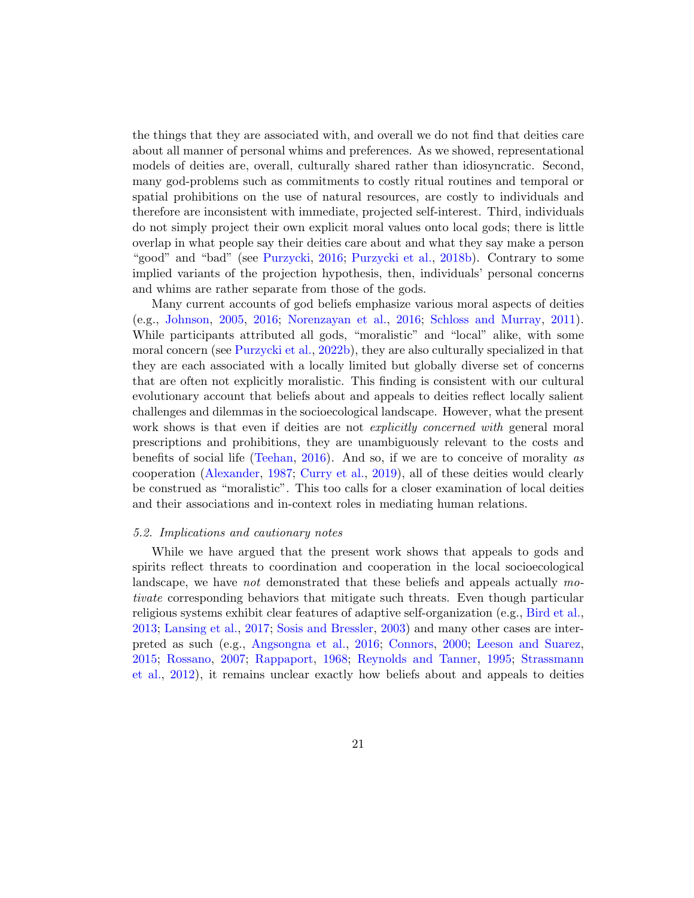the things that they are associated with, and overall we do not find that deities care about all manner of personal whims and preferences. As we showed, representational models of deities are, overall, culturally shared rather than idiosyncratic. Second, many god-problems such as commitments to costly ritual routines and temporal or spatial prohibitions on the use of natural resources, are costly to individuals and therefore are inconsistent with immediate, projected self-interest. Third, individuals do not simply project their own explicit moral values onto local gods; there is little overlap in what people say their deities care about and what they say make a person "good" and "bad" (see [Purzycki,](#page-31-2) [2016;](#page-31-2) [Purzycki et al.,](#page-32-7) [2018b\)](#page-32-7). Contrary to some implied variants of the projection hypothesis, then, individuals' personal concerns and whims are rather separate from those of the gods.

Many current accounts of god beliefs emphasize various moral aspects of deities (e.g., [Johnson,](#page-28-2) [2005,](#page-28-2) [2016;](#page-28-3) [Norenzayan et al.,](#page-30-0) [2016;](#page-30-0) [Schloss and Murray,](#page-33-0) [2011\)](#page-33-0). While participants attributed all gods, "moralistic" and "local" alike, with some moral concern (see [Purzycki et al.,](#page-32-9) [2022b\)](#page-32-9), they are also culturally specialized in that they are each associated with a locally limited but globally diverse set of concerns that are often not explicitly moralistic. This finding is consistent with our cultural evolutionary account that beliefs about and appeals to deities reflect locally salient challenges and dilemmas in the socioecological landscape. However, what the present work shows is that even if deities are not *explicitly concerned with* general moral prescriptions and prohibitions, they are unambiguously relevant to the costs and benefits of social life [\(Teehan,](#page-35-10) [2016\)](#page-35-10). And so, if we are to conceive of morality as cooperation [\(Alexander,](#page-23-2) [1987;](#page-23-2) [Curry et al.,](#page-26-7) [2019\)](#page-26-7), all of these deities would clearly be construed as "moralistic". This too calls for a closer examination of local deities and their associations and in-context roles in mediating human relations.

#### 5.2. Implications and cautionary notes

While we have argued that the present work shows that appeals to gods and spirits reflect threats to coordination and cooperation in the local socioecological landscape, we have *not* demonstrated that these beliefs and appeals actually motivate corresponding behaviors that mitigate such threats. Even though particular religious systems exhibit clear features of adaptive self-organization (e.g., [Bird et al.,](#page-25-10) [2013;](#page-25-10) [Lansing et al.,](#page-29-3) [2017;](#page-29-3) [Sosis and Bressler,](#page-34-4) [2003\)](#page-34-4) and many other cases are interpreted as such (e.g., [Angsongna et al.,](#page-23-3) [2016;](#page-23-3) [Connors,](#page-26-10) [2000;](#page-26-10) [Leeson and Suarez,](#page-29-4) [2015;](#page-29-4) [Rossano,](#page-33-3) [2007;](#page-33-3) [Rappaport,](#page-32-10) [1968;](#page-32-10) [Reynolds and Tanner,](#page-32-11) [1995;](#page-32-11) [Strassmann](#page-34-8) [et al.,](#page-34-8) [2012\)](#page-34-8), it remains unclear exactly how beliefs about and appeals to deities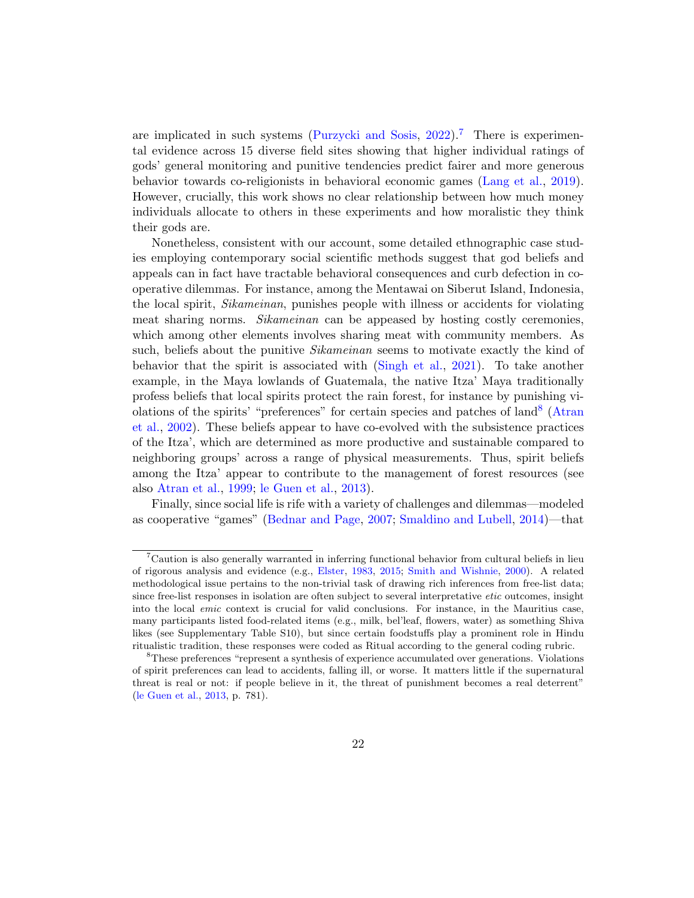are implicated in such systems [\(Purzycki and Sosis,](#page-32-2)  $2022$ ).<sup>[7](#page-21-0)</sup> There is experimental evidence across 15 diverse field sites showing that higher individual ratings of gods' general monitoring and punitive tendencies predict fairer and more generous behavior towards co-religionists in behavioral economic games [\(Lang et al.,](#page-29-0) [2019\)](#page-29-0). However, crucially, this work shows no clear relationship between how much money individuals allocate to others in these experiments and how moralistic they think their gods are.

Nonetheless, consistent with our account, some detailed ethnographic case studies employing contemporary social scientific methods suggest that god beliefs and appeals can in fact have tractable behavioral consequences and curb defection in cooperative dilemmas. For instance, among the Mentawai on Siberut Island, Indonesia, the local spirit, Sikameinan, punishes people with illness or accidents for violating meat sharing norms. Sikameinan can be appeased by hosting costly ceremonies, which among other elements involves sharing meat with community members. As such, beliefs about the punitive *Sikameinan* seems to motivate exactly the kind of behavior that the spirit is associated with [\(Singh et al.,](#page-34-3) [2021\)](#page-34-3). To take another example, in the Maya lowlands of Guatemala, the native Itza' Maya traditionally profess beliefs that local spirits protect the rain forest, for instance by punishing vi-olations of the spirits' "preferences" for certain species and patches of land<sup>[8](#page-21-1)</sup> [\(Atran](#page-24-5) [et al.,](#page-24-5) [2002\)](#page-24-5). These beliefs appear to have co-evolved with the subsistence practices of the Itza', which are determined as more productive and sustainable compared to neighboring groups' across a range of physical measurements. Thus, spirit beliefs among the Itza' appear to contribute to the management of forest resources (see also [Atran et al.,](#page-24-7) [1999;](#page-24-7) [le Guen et al.,](#page-27-9) [2013\)](#page-27-9).

Finally, since social life is rife with a variety of challenges and dilemmas—modeled as cooperative "games" [\(Bednar and Page,](#page-24-8) [2007;](#page-24-8) [Smaldino and Lubell,](#page-34-9) [2014\)](#page-34-9)—that

<span id="page-21-0"></span><sup>7</sup>Caution is also generally warranted in inferring functional behavior from cultural beliefs in lieu of rigorous analysis and evidence (e.g., [Elster,](#page-26-11) [1983,](#page-26-11) [2015;](#page-26-12) [Smith and Wishnie,](#page-34-10) [2000\)](#page-34-10). A related methodological issue pertains to the non-trivial task of drawing rich inferences from free-list data; since free-list responses in isolation are often subject to several interpretative etic outcomes, insight into the local emic context is crucial for valid conclusions. For instance, in the Mauritius case, many participants listed food-related items (e.g., milk, bel'leaf, flowers, water) as something Shiva likes (see Supplementary Table S10), but since certain foodstuffs play a prominent role in Hindu ritualistic tradition, these responses were coded as Ritual according to the general coding rubric.

<span id="page-21-1"></span><sup>8</sup>These preferences "represent a synthesis of experience accumulated over generations. Violations of spirit preferences can lead to accidents, falling ill, or worse. It matters little if the supernatural threat is real or not: if people believe in it, the threat of punishment becomes a real deterrent" [\(le Guen et al.,](#page-27-9) [2013,](#page-27-9) p. 781).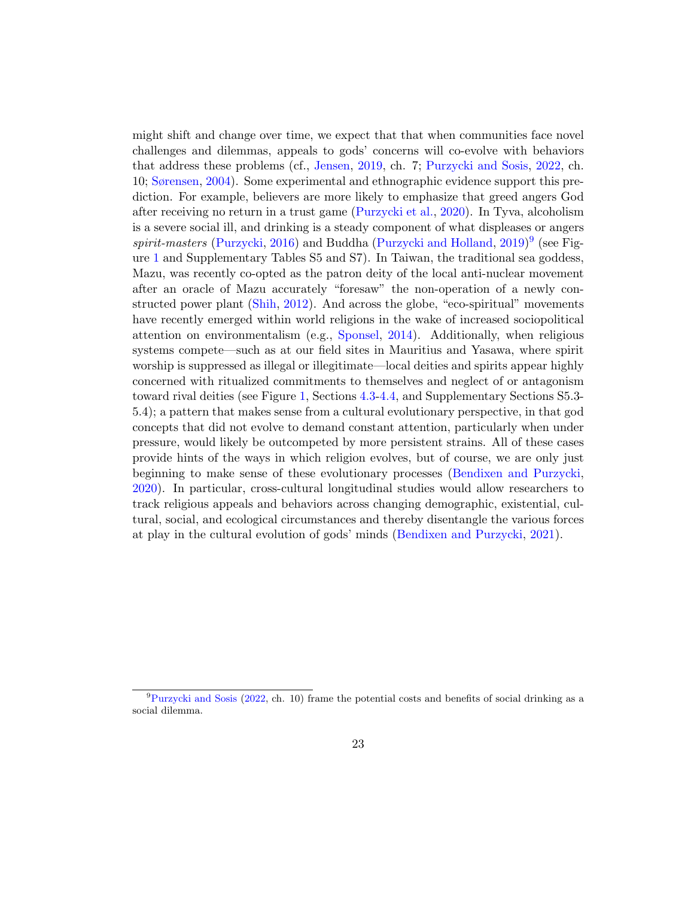might shift and change over time, we expect that that when communities face novel challenges and dilemmas, appeals to gods' concerns will co-evolve with behaviors that address these problems (cf., [Jensen,](#page-28-0) [2019,](#page-28-0) ch. 7; [Purzycki and Sosis,](#page-32-2) [2022,](#page-32-2) ch. 10; [Sørensen,](#page-34-11) [2004\)](#page-34-11). Some experimental and ethnographic evidence support this prediction. For example, believers are more likely to emphasize that greed angers God after receiving no return in a trust game [\(Purzycki et al.,](#page-32-6) [2020\)](#page-32-6). In Tyva, alcoholism is a severe social ill, and drinking is a steady component of what displeases or angers spirit-masters [\(Purzycki,](#page-31-2) [2016\)](#page-31-2) and Buddha [\(Purzycki and Holland,](#page-31-9)  $2019)^9$  $2019)^9$  $2019)^9$  (see Figure [1](#page-11-0) and Supplementary Tables S5 and S7). In Taiwan, the traditional sea goddess, Mazu, was recently co-opted as the patron deity of the local anti-nuclear movement after an oracle of Mazu accurately "foresaw" the non-operation of a newly constructed power plant [\(Shih,](#page-33-11) [2012\)](#page-33-11). And across the globe, "eco-spiritual" movements have recently emerged within world religions in the wake of increased sociopolitical attention on environmentalism (e.g., [Sponsel,](#page-34-12) [2014\)](#page-34-12). Additionally, when religious systems compete—such as at our field sites in Mauritius and Yasawa, where spirit worship is suppressed as illegal or illegitimate—local deities and spirits appear highly concerned with ritualized commitments to themselves and neglect of or antagonism toward rival deities (see Figure [1,](#page-11-0) Sections [4.3](#page-15-1)[-4.4,](#page-16-0) and Supplementary Sections S5.3- 5.4); a pattern that makes sense from a cultural evolutionary perspective, in that god concepts that did not evolve to demand constant attention, particularly when under pressure, would likely be outcompeted by more persistent strains. All of these cases provide hints of the ways in which religion evolves, but of course, we are only just beginning to make sense of these evolutionary processes [\(Bendixen and Purzycki,](#page-24-4) [2020\)](#page-24-4). In particular, cross-cultural longitudinal studies would allow researchers to track religious appeals and behaviors across changing demographic, existential, cultural, social, and ecological circumstances and thereby disentangle the various forces at play in the cultural evolution of gods' minds [\(Bendixen and Purzycki,](#page-24-9) [2021\)](#page-24-9).

<span id="page-22-0"></span> $^{9}$ [Purzycki and Sosis](#page-32-2) [\(2022,](#page-32-2) ch. 10) frame the potential costs and benefits of social drinking as a social dilemma.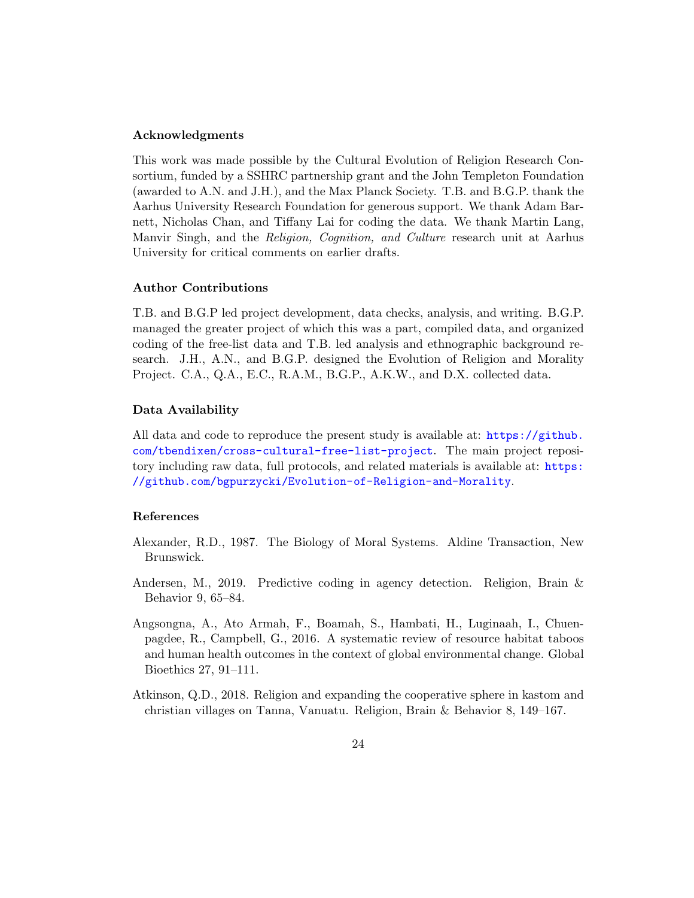## Acknowledgments

This work was made possible by the Cultural Evolution of Religion Research Consortium, funded by a SSHRC partnership grant and the John Templeton Foundation (awarded to A.N. and J.H.), and the Max Planck Society. T.B. and B.G.P. thank the Aarhus University Research Foundation for generous support. We thank Adam Barnett, Nicholas Chan, and Tiffany Lai for coding the data. We thank Martin Lang, Manvir Singh, and the Religion, Cognition, and Culture research unit at Aarhus University for critical comments on earlier drafts.

# Author Contributions

T.B. and B.G.P led project development, data checks, analysis, and writing. B.G.P. managed the greater project of which this was a part, compiled data, and organized coding of the free-list data and T.B. led analysis and ethnographic background research. J.H., A.N., and B.G.P. designed the Evolution of Religion and Morality Project. C.A., Q.A., E.C., R.A.M., B.G.P., A.K.W., and D.X. collected data.

# Data Availability

All data and code to reproduce the present study is available at: [https://github.](https://github.com/tbendixen/cross-cultural-free-list-project) [com/tbendixen/cross-cultural-free-list-project](https://github.com/tbendixen/cross-cultural-free-list-project). The main project repository including raw data, full protocols, and related materials is available at: [https:](https://github.com/bgpurzycki/Evolution-of-Religion-and-Morality) [//github.com/bgpurzycki/Evolution-of-Religion-and-Morality](https://github.com/bgpurzycki/Evolution-of-Religion-and-Morality).

# References

- <span id="page-23-2"></span>Alexander, R.D., 1987. The Biology of Moral Systems. Aldine Transaction, New Brunswick.
- <span id="page-23-0"></span>Andersen, M., 2019. Predictive coding in agency detection. Religion, Brain & Behavior 9, 65–84.
- <span id="page-23-3"></span>Angsongna, A., Ato Armah, F., Boamah, S., Hambati, H., Luginaah, I., Chuenpagdee, R., Campbell, G., 2016. A systematic review of resource habitat taboos and human health outcomes in the context of global environmental change. Global Bioethics 27, 91–111.
- <span id="page-23-1"></span>Atkinson, Q.D., 2018. Religion and expanding the cooperative sphere in kastom and christian villages on Tanna, Vanuatu. Religion, Brain & Behavior 8, 149–167.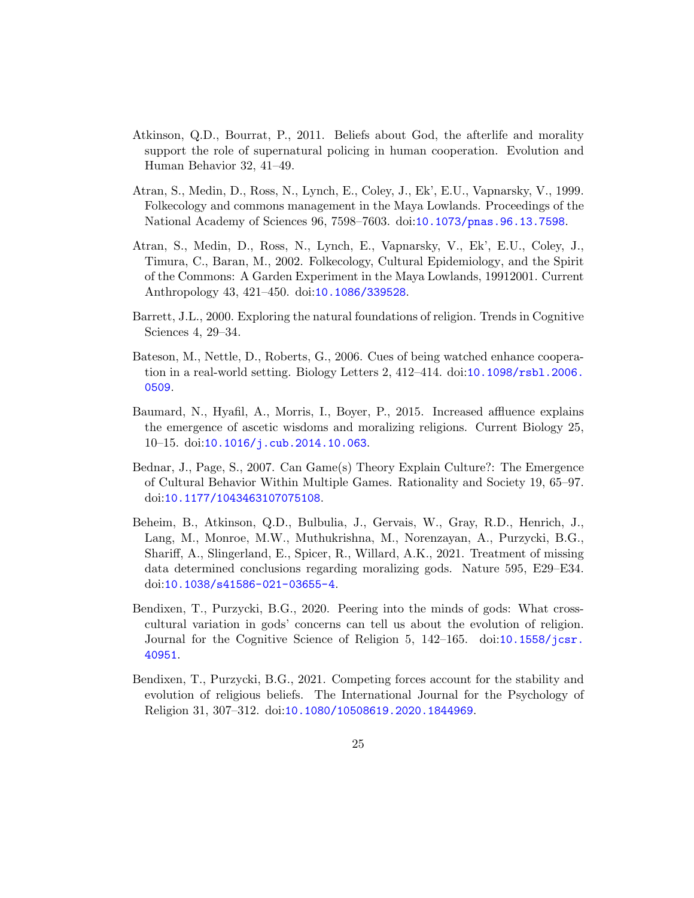- <span id="page-24-3"></span>Atkinson, Q.D., Bourrat, P., 2011. Beliefs about God, the afterlife and morality support the role of supernatural policing in human cooperation. Evolution and Human Behavior 32, 41–49.
- <span id="page-24-7"></span>Atran, S., Medin, D., Ross, N., Lynch, E., Coley, J., Ek', E.U., Vapnarsky, V., 1999. Folkecology and commons management in the Maya Lowlands. Proceedings of the National Academy of Sciences 96, 7598–7603. doi:[10.1073/pnas.96.13.7598](http://dx.doi.org/10.1073/pnas.96.13.7598).
- <span id="page-24-5"></span>Atran, S., Medin, D., Ross, N., Lynch, E., Vapnarsky, V., Ek', E.U., Coley, J., Timura, C., Baran, M., 2002. Folkecology, Cultural Epidemiology, and the Spirit of the Commons: A Garden Experiment in the Maya Lowlands, 19912001. Current Anthropology 43, 421–450. doi:[10.1086/339528](http://dx.doi.org/10.1086/339528).
- <span id="page-24-0"></span>Barrett, J.L., 2000. Exploring the natural foundations of religion. Trends in Cognitive Sciences 4, 29–34.
- <span id="page-24-6"></span>Bateson, M., Nettle, D., Roberts, G., 2006. Cues of being watched enhance cooperation in a real-world setting. Biology Letters 2, 412–414. doi:[10.1098/rsbl.2006.](http://dx.doi.org/10.1098/rsbl.2006.0509) [0509](http://dx.doi.org/10.1098/rsbl.2006.0509).
- <span id="page-24-1"></span>Baumard, N., Hyafil, A., Morris, I., Boyer, P., 2015. Increased affluence explains the emergence of ascetic wisdoms and moralizing religions. Current Biology 25, 10–15. doi:[10.1016/j.cub.2014.10.063](http://dx.doi.org/10.1016/j.cub.2014.10.063).
- <span id="page-24-8"></span>Bednar, J., Page, S., 2007. Can Game(s) Theory Explain Culture?: The Emergence of Cultural Behavior Within Multiple Games. Rationality and Society 19, 65–97. doi:[10.1177/1043463107075108](http://dx.doi.org/10.1177/1043463107075108).
- <span id="page-24-2"></span>Beheim, B., Atkinson, Q.D., Bulbulia, J., Gervais, W., Gray, R.D., Henrich, J., Lang, M., Monroe, M.W., Muthukrishna, M., Norenzayan, A., Purzycki, B.G., Shariff, A., Slingerland, E., Spicer, R., Willard, A.K., 2021. Treatment of missing data determined conclusions regarding moralizing gods. Nature 595, E29–E34. doi:[10.1038/s41586-021-03655-4](http://dx.doi.org/10.1038/s41586-021-03655-4).
- <span id="page-24-4"></span>Bendixen, T., Purzycki, B.G., 2020. Peering into the minds of gods: What crosscultural variation in gods' concerns can tell us about the evolution of religion. Journal for the Cognitive Science of Religion 5, 142–165. doi:[10.1558/jcsr.](http://dx.doi.org/10.1558/jcsr.40951) [40951](http://dx.doi.org/10.1558/jcsr.40951).
- <span id="page-24-9"></span>Bendixen, T., Purzycki, B.G., 2021. Competing forces account for the stability and evolution of religious beliefs. The International Journal for the Psychology of Religion 31, 307–312. doi:[10.1080/10508619.2020.1844969](http://dx.doi.org/10.1080/10508619.2020.1844969).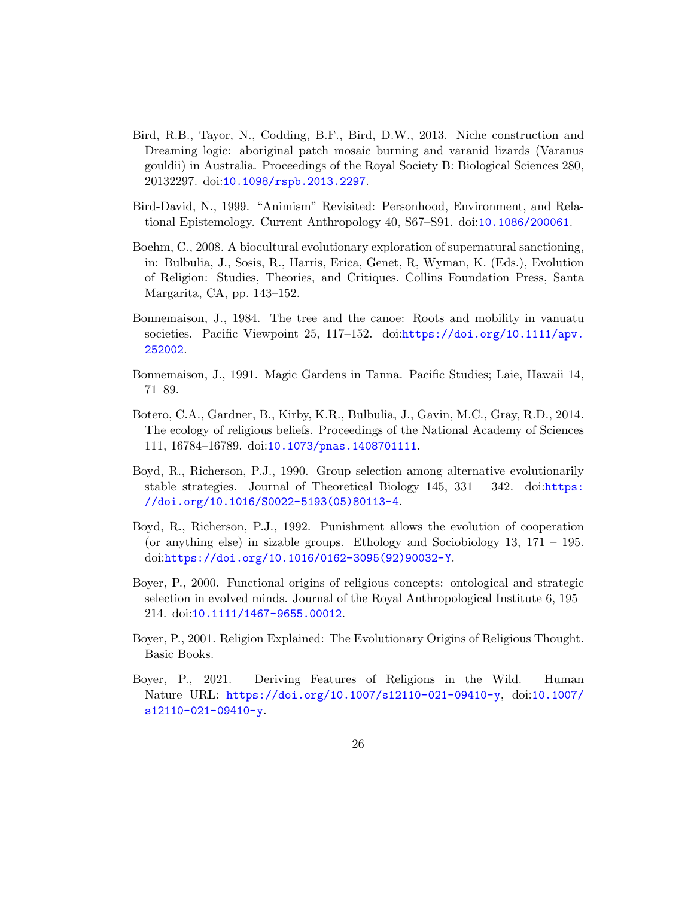- <span id="page-25-10"></span>Bird, R.B., Tayor, N., Codding, B.F., Bird, D.W., 2013. Niche construction and Dreaming logic: aboriginal patch mosaic burning and varanid lizards (Varanus gouldii) in Australia. Proceedings of the Royal Society B: Biological Sciences 280, 20132297. doi:[10.1098/rspb.2013.2297](http://dx.doi.org/10.1098/rspb.2013.2297).
- <span id="page-25-0"></span>Bird-David, N., 1999. "Animism" Revisited: Personhood, Environment, and Relational Epistemology. Current Anthropology 40, S67–S91. doi:[10.1086/200061](http://dx.doi.org/10.1086/200061).
- <span id="page-25-4"></span>Boehm, C., 2008. A biocultural evolutionary exploration of supernatural sanctioning, in: Bulbulia, J., Sosis, R., Harris, Erica, Genet, R, Wyman, K. (Eds.), Evolution of Religion: Studies, Theories, and Critiques. Collins Foundation Press, Santa Margarita, CA, pp. 143–152.
- <span id="page-25-8"></span>Bonnemaison, J., 1984. The tree and the canoe: Roots and mobility in vanuatu societies. Pacific Viewpoint 25, 117-152. doi:[https://doi.org/10.1111/apv.](http://dx.doi.org/https://doi.org/10.1111/apv.252002) [252002](http://dx.doi.org/https://doi.org/10.1111/apv.252002).
- <span id="page-25-9"></span>Bonnemaison, J., 1991. Magic Gardens in Tanna. Pacific Studies; Laie, Hawaii 14, 71–89.
- <span id="page-25-3"></span>Botero, C.A., Gardner, B., Kirby, K.R., Bulbulia, J., Gavin, M.C., Gray, R.D., 2014. The ecology of religious beliefs. Proceedings of the National Academy of Sciences 111, 16784–16789. doi:[10.1073/pnas.1408701111](http://dx.doi.org/10.1073/pnas.1408701111).
- <span id="page-25-6"></span>Boyd, R., Richerson, P.J., 1990. Group selection among alternative evolutionarily stable strategies. Journal of Theoretical Biology  $145$ ,  $331 - 342$ . doi:[https:](http://dx.doi.org/https://doi.org/10.1016/S0022-5193(05)80113-4) [//doi.org/10.1016/S0022-5193\(05\)80113-4](http://dx.doi.org/https://doi.org/10.1016/S0022-5193(05)80113-4).
- <span id="page-25-7"></span>Boyd, R., Richerson, P.J., 1992. Punishment allows the evolution of cooperation (or anything else) in sizable groups. Ethology and Sociobiology 13, 171 – 195. doi:[https://doi.org/10.1016/0162-3095\(92\)90032-Y](http://dx.doi.org/https://doi.org/10.1016/0162-3095(92)90032-Y).
- <span id="page-25-1"></span>Boyer, P., 2000. Functional origins of religious concepts: ontological and strategic selection in evolved minds. Journal of the Royal Anthropological Institute 6, 195– 214. doi:[10.1111/1467-9655.00012](http://dx.doi.org/10.1111/1467-9655.00012).
- <span id="page-25-2"></span>Boyer, P., 2001. Religion Explained: The Evolutionary Origins of Religious Thought. Basic Books.
- <span id="page-25-5"></span>Boyer, P., 2021. Deriving Features of Religions in the Wild. Human Nature URL: <https://doi.org/10.1007/s12110-021-09410-y>, doi:[10.1007/](http://dx.doi.org/10.1007/s12110-021-09410-y) [s12110-021-09410-y](http://dx.doi.org/10.1007/s12110-021-09410-y).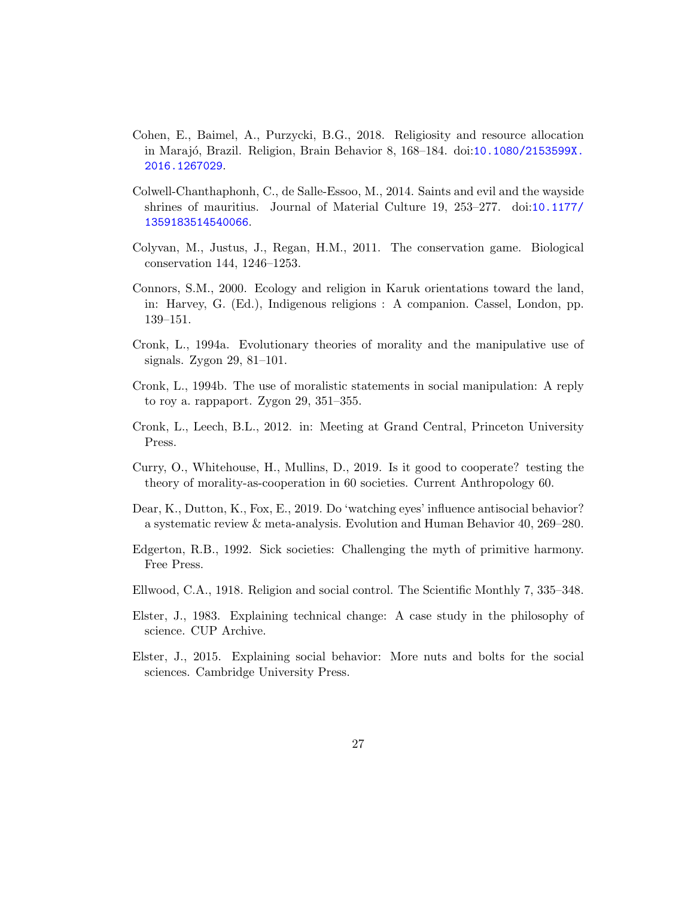- <span id="page-26-8"></span>Cohen, E., Baimel, A., Purzycki, B.G., 2018. Religiosity and resource allocation in Maraj´o, Brazil. Religion, Brain Behavior 8, 168–184. doi:[10.1080/2153599X.](http://dx.doi.org/10.1080/2153599X.2016.1267029) [2016.1267029](http://dx.doi.org/10.1080/2153599X.2016.1267029).
- <span id="page-26-6"></span>Colwell-Chanthaphonh, C., de Salle-Essoo, M., 2014. Saints and evil and the wayside shrines of mauritius. Journal of Material Culture 19, 253–277. doi:[10.1177/](http://dx.doi.org/10.1177/1359183514540066) [1359183514540066](http://dx.doi.org/10.1177/1359183514540066).
- <span id="page-26-4"></span>Colyvan, M., Justus, J., Regan, H.M., 2011. The conservation game. Biological conservation 144, 1246–1253.
- <span id="page-26-10"></span>Connors, S.M., 2000. Ecology and religion in Karuk orientations toward the land, in: Harvey, G. (Ed.), Indigenous religions : A companion. Cassel, London, pp. 139–151.
- <span id="page-26-1"></span>Cronk, L., 1994a. Evolutionary theories of morality and the manipulative use of signals. Zygon 29, 81–101.
- <span id="page-26-2"></span>Cronk, L., 1994b. The use of moralistic statements in social manipulation: A reply to roy a. rappaport. Zygon 29, 351–355.
- <span id="page-26-0"></span>Cronk, L., Leech, B.L., 2012. in: Meeting at Grand Central, Princeton University Press.
- <span id="page-26-7"></span>Curry, O., Whitehouse, H., Mullins, D., 2019. Is it good to cooperate? testing the theory of morality-as-cooperation in 60 societies. Current Anthropology 60.
- <span id="page-26-3"></span>Dear, K., Dutton, K., Fox, E., 2019. Do 'watching eyes' influence antisocial behavior? a systematic review & meta-analysis. Evolution and Human Behavior 40, 269–280.
- <span id="page-26-5"></span>Edgerton, R.B., 1992. Sick societies: Challenging the myth of primitive harmony. Free Press.
- <span id="page-26-9"></span>Ellwood, C.A., 1918. Religion and social control. The Scientific Monthly 7, 335–348.
- <span id="page-26-11"></span>Elster, J., 1983. Explaining technical change: A case study in the philosophy of science. CUP Archive.
- <span id="page-26-12"></span>Elster, J., 2015. Explaining social behavior: More nuts and bolts for the social sciences. Cambridge University Press.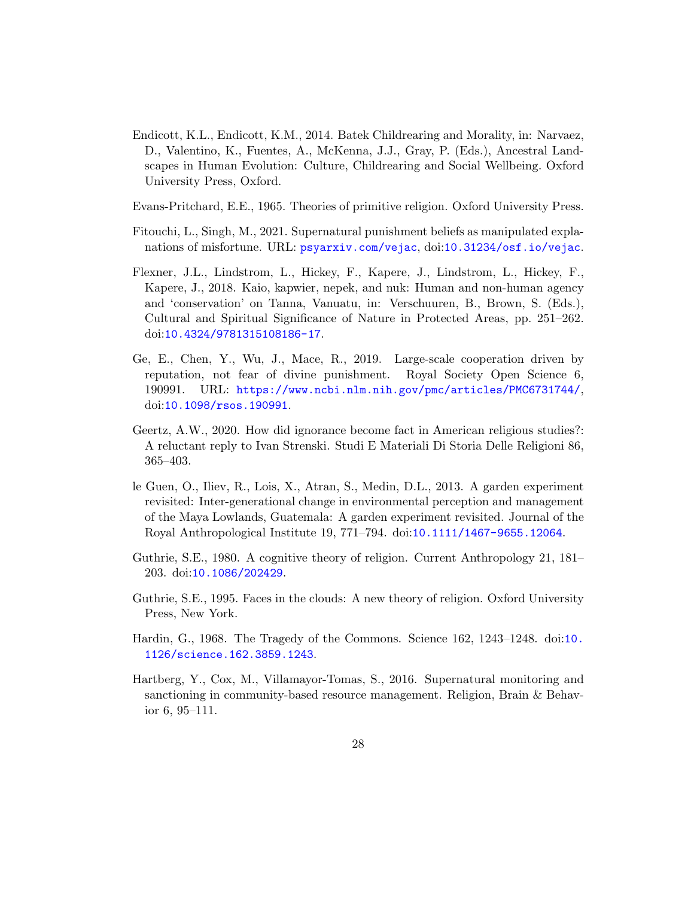- <span id="page-27-6"></span>Endicott, K.L., Endicott, K.M., 2014. Batek Childrearing and Morality, in: Narvaez, D., Valentino, K., Fuentes, A., McKenna, J.J., Gray, P. (Eds.), Ancestral Landscapes in Human Evolution: Culture, Childrearing and Social Wellbeing. Oxford University Press, Oxford.
- <span id="page-27-3"></span>Evans-Pritchard, E.E., 1965. Theories of primitive religion. Oxford University Press.
- <span id="page-27-5"></span>Fitouchi, L., Singh, M., 2021. Supernatural punishment beliefs as manipulated explanations of misfortune. URL: <psyarxiv.com/vejac>, doi:[10.31234/osf.io/vejac](http://dx.doi.org/10.31234/osf.io/vejac).
- <span id="page-27-10"></span>Flexner, J.L., Lindstrom, L., Hickey, F., Kapere, J., Lindstrom, L., Hickey, F., Kapere, J., 2018. Kaio, kapwier, nepek, and nuk: Human and non-human agency and 'conservation' on Tanna, Vanuatu, in: Verschuuren, B., Brown, S. (Eds.), Cultural and Spiritual Significance of Nature in Protected Areas, pp. 251–262. doi:[10.4324/9781315108186-17](http://dx.doi.org/10.4324/9781315108186-17).
- <span id="page-27-4"></span>Ge, E., Chen, Y., Wu, J., Mace, R., 2019. Large-scale cooperation driven by reputation, not fear of divine punishment. Royal Society Open Science 6, 190991. URL: <https://www.ncbi.nlm.nih.gov/pmc/articles/PMC6731744/>, doi:[10.1098/rsos.190991](http://dx.doi.org/10.1098/rsos.190991).
- <span id="page-27-0"></span>Geertz, A.W., 2020. How did ignorance become fact in American religious studies?: A reluctant reply to Ivan Strenski. Studi E Materiali Di Storia Delle Religioni 86, 365–403.
- <span id="page-27-9"></span>le Guen, O., Iliev, R., Lois, X., Atran, S., Medin, D.L., 2013. A garden experiment revisited: Inter-generational change in environmental perception and management of the Maya Lowlands, Guatemala: A garden experiment revisited. Journal of the Royal Anthropological Institute 19, 771–794. doi:[10.1111/1467-9655.12064](http://dx.doi.org/10.1111/1467-9655.12064).
- <span id="page-27-1"></span>Guthrie, S.E., 1980. A cognitive theory of religion. Current Anthropology 21, 181– 203. doi:[10.1086/202429](http://dx.doi.org/10.1086/202429).
- <span id="page-27-2"></span>Guthrie, S.E., 1995. Faces in the clouds: A new theory of religion. Oxford University Press, New York.
- <span id="page-27-8"></span>Hardin, G., 1968. The Tragedy of the Commons. Science 162, 1243–1248. doi:[10.](http://dx.doi.org/10.1126/science.162.3859.1243) [1126/science.162.3859.1243](http://dx.doi.org/10.1126/science.162.3859.1243).
- <span id="page-27-7"></span>Hartberg, Y., Cox, M., Villamayor-Tomas, S., 2016. Supernatural monitoring and sanctioning in community-based resource management. Religion, Brain & Behavior 6, 95–111.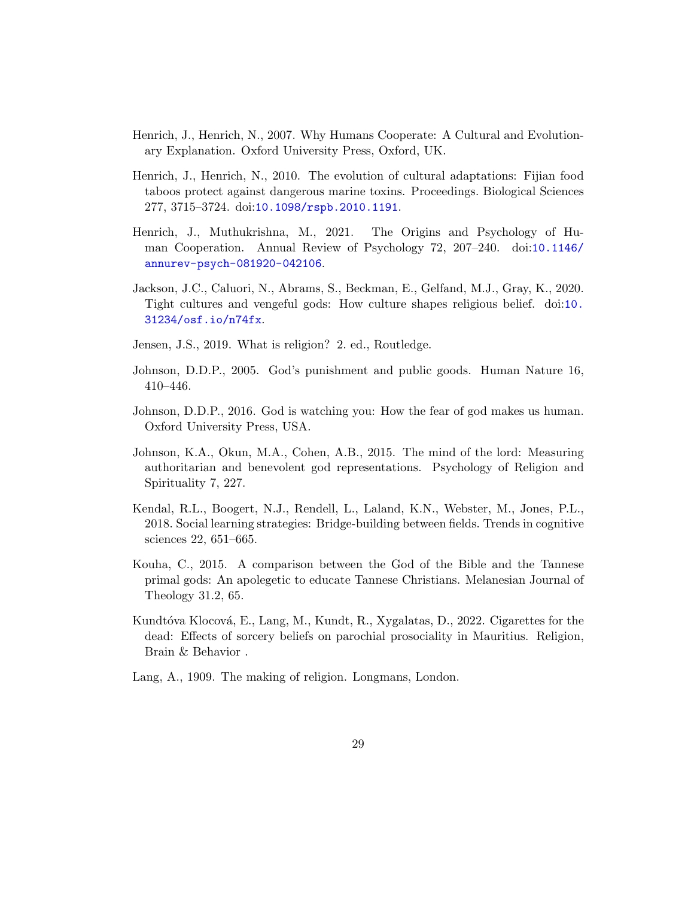- <span id="page-28-7"></span>Henrich, J., Henrich, N., 2007. Why Humans Cooperate: A Cultural and Evolutionary Explanation. Oxford University Press, Oxford, UK.
- <span id="page-28-9"></span>Henrich, J., Henrich, N., 2010. The evolution of cultural adaptations: Fijian food taboos protect against dangerous marine toxins. Proceedings. Biological Sciences 277, 3715–3724. doi:[10.1098/rspb.2010.1191](http://dx.doi.org/10.1098/rspb.2010.1191).
- <span id="page-28-6"></span>Henrich, J., Muthukrishna, M., 2021. The Origins and Psychology of Human Cooperation. Annual Review of Psychology 72, 207–240. doi:[10.1146/](http://dx.doi.org/10.1146/annurev-psych-081920-042106) [annurev-psych-081920-042106](http://dx.doi.org/10.1146/annurev-psych-081920-042106).
- <span id="page-28-8"></span>Jackson, J.C., Caluori, N., Abrams, S., Beckman, E., Gelfand, M.J., Gray, K., 2020. Tight cultures and vengeful gods: How culture shapes religious belief. doi:[10.](http://dx.doi.org/10.31234/osf.io/n74fx) [31234/osf.io/n74fx](http://dx.doi.org/10.31234/osf.io/n74fx).
- <span id="page-28-0"></span>Jensen, J.S., 2019. What is religion? 2. ed., Routledge.
- <span id="page-28-2"></span>Johnson, D.D.P., 2005. God's punishment and public goods. Human Nature 16, 410–446.
- <span id="page-28-3"></span>Johnson, D.D.P., 2016. God is watching you: How the fear of god makes us human. Oxford University Press, USA.
- <span id="page-28-1"></span>Johnson, K.A., Okun, M.A., Cohen, A.B., 2015. The mind of the lord: Measuring authoritarian and benevolent god representations. Psychology of Religion and Spirituality 7, 227.
- <span id="page-28-5"></span>Kendal, R.L., Boogert, N.J., Rendell, L., Laland, K.N., Webster, M., Jones, P.L., 2018. Social learning strategies: Bridge-building between fields. Trends in cognitive sciences 22, 651–665.
- <span id="page-28-10"></span>Kouha, C., 2015. A comparison between the God of the Bible and the Tannese primal gods: An apolegetic to educate Tannese Christians. Melanesian Journal of Theology 31.2, 65.
- <span id="page-28-11"></span>Kundtóva Klocová, E., Lang, M., Kundt, R., Xygalatas, D., 2022. Cigarettes for the dead: Effects of sorcery beliefs on parochial prosociality in Mauritius. Religion, Brain & Behavior .
- <span id="page-28-4"></span>Lang, A., 1909. The making of religion. Longmans, London.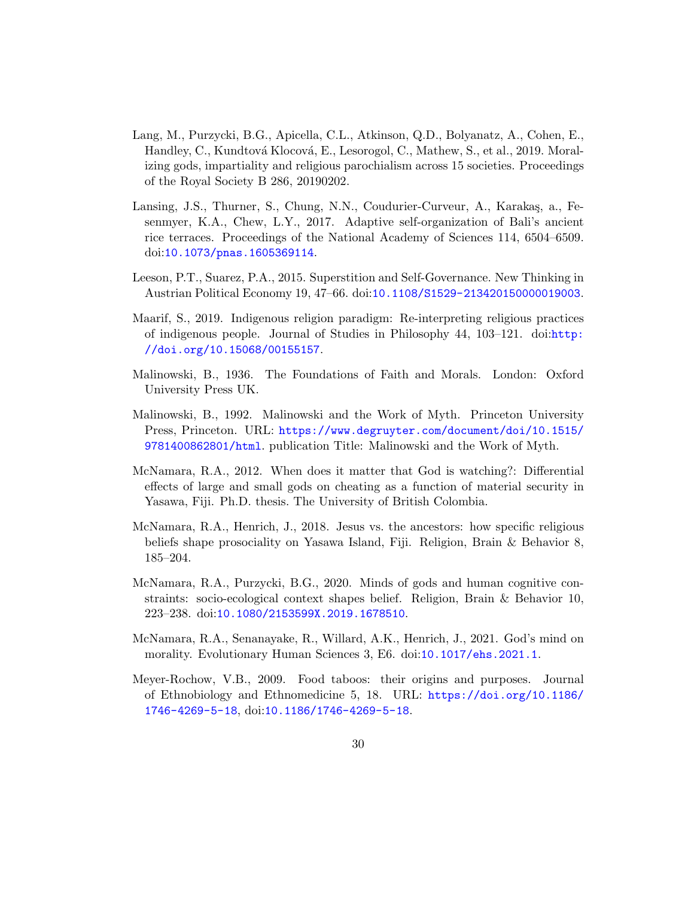- <span id="page-29-0"></span>Lang, M., Purzycki, B.G., Apicella, C.L., Atkinson, Q.D., Bolyanatz, A., Cohen, E., Handley, C., Kundtová Klocová, E., Lesorogol, C., Mathew, S., et al., 2019. Moralizing gods, impartiality and religious parochialism across 15 societies. Proceedings of the Royal Society B 286, 20190202.
- <span id="page-29-3"></span>Lansing, J.S., Thurner, S., Chung, N.N., Coudurier-Curveur, A., Karakaş, a., Fesenmyer, K.A., Chew, L.Y., 2017. Adaptive self-organization of Bali's ancient rice terraces. Proceedings of the National Academy of Sciences 114, 6504–6509. doi:[10.1073/pnas.1605369114](http://dx.doi.org/10.1073/pnas.1605369114).
- <span id="page-29-4"></span>Leeson, P.T., Suarez, P.A., 2015. Superstition and Self-Governance. New Thinking in Austrian Political Economy 19, 47–66. doi:[10.1108/S1529-213420150000019003](http://dx.doi.org/10.1108/S1529-213420150000019003).
- <span id="page-29-7"></span>Maarif, S., 2019. Indigenous religion paradigm: Re-interpreting religious practices of indigenous people. Journal of Studies in Philosophy 44, 103–121. doi:[http:](http://dx.doi.org/http://doi.org/10.15068/00155157) [//doi.org/10.15068/00155157](http://dx.doi.org/http://doi.org/10.15068/00155157).
- <span id="page-29-10"></span>Malinowski, B., 1936. The Foundations of Faith and Morals. London: Oxford University Press UK.
- <span id="page-29-9"></span>Malinowski, B., 1992. Malinowski and the Work of Myth. Princeton University Press, Princeton. URL: [https://www.degruyter.com/document/doi/10.1515/](https://www.degruyter.com/document/doi/10.1515/9781400862801/html) [9781400862801/html](https://www.degruyter.com/document/doi/10.1515/9781400862801/html). publication Title: Malinowski and the Work of Myth.
- <span id="page-29-8"></span>McNamara, R.A., 2012. When does it matter that God is watching?: Differential effects of large and small gods on cheating as a function of material security in Yasawa, Fiji. Ph.D. thesis. The University of British Colombia.
- <span id="page-29-1"></span>McNamara, R.A., Henrich, J., 2018. Jesus vs. the ancestors: how specific religious beliefs shape prosociality on Yasawa Island, Fiji. Religion, Brain & Behavior 8, 185–204.
- <span id="page-29-6"></span>McNamara, R.A., Purzycki, B.G., 2020. Minds of gods and human cognitive constraints: socio-ecological context shapes belief. Religion, Brain & Behavior 10, 223–238. doi:[10.1080/2153599X.2019.1678510](http://dx.doi.org/10.1080/2153599X.2019.1678510).
- <span id="page-29-2"></span>McNamara, R.A., Senanayake, R., Willard, A.K., Henrich, J., 2021. God's mind on morality. Evolutionary Human Sciences 3, E6. doi:[10.1017/ehs.2021.1](http://dx.doi.org/10.1017/ehs.2021.1).
- <span id="page-29-5"></span>Meyer-Rochow, V.B., 2009. Food taboos: their origins and purposes. Journal of Ethnobiology and Ethnomedicine 5, 18. URL: [https://doi.org/10.1186/](https://doi.org/10.1186/1746-4269-5-18) [1746-4269-5-18](https://doi.org/10.1186/1746-4269-5-18), doi:[10.1186/1746-4269-5-18](http://dx.doi.org/10.1186/1746-4269-5-18).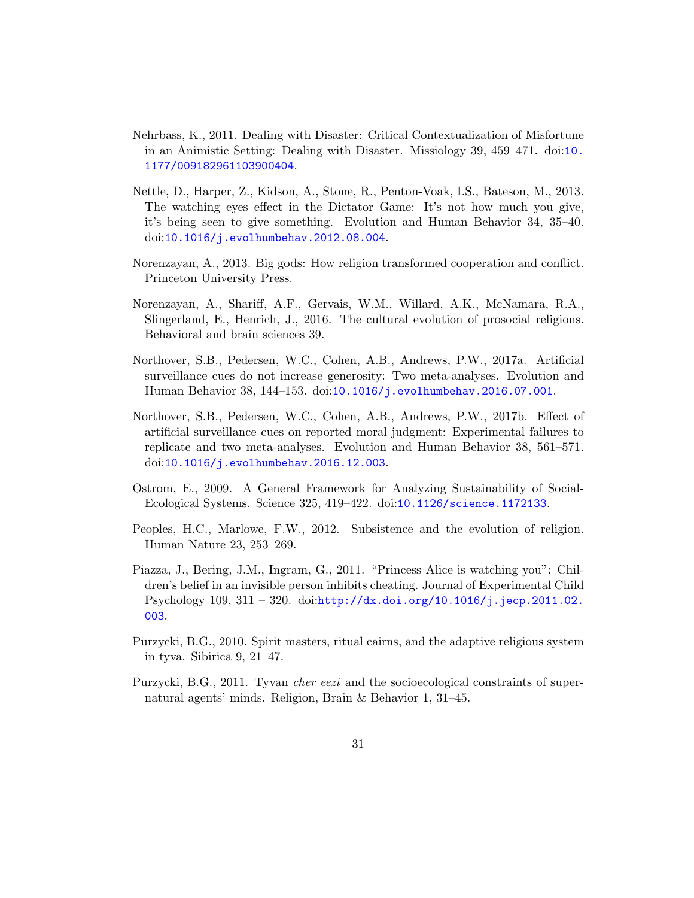- <span id="page-30-8"></span>Nehrbass, K., 2011. Dealing with Disaster: Critical Contextualization of Misfortune in an Animistic Setting: Dealing with Disaster. Missiology 39, 459–471. doi:[10.](http://dx.doi.org/10.1177/009182961103900404) [1177/009182961103900404](http://dx.doi.org/10.1177/009182961103900404).
- <span id="page-30-3"></span>Nettle, D., Harper, Z., Kidson, A., Stone, R., Penton-Voak, I.S., Bateson, M., 2013. The watching eyes effect in the Dictator Game: It's not how much you give, it's being seen to give something. Evolution and Human Behavior 34, 35–40. doi:[10.1016/j.evolhumbehav.2012.08.004](http://dx.doi.org/10.1016/j.evolhumbehav.2012.08.004).
- <span id="page-30-10"></span>Norenzayan, A., 2013. Big gods: How religion transformed cooperation and conflict. Princeton University Press.
- <span id="page-30-0"></span>Norenzayan, A., Shariff, A.F., Gervais, W.M., Willard, A.K., McNamara, R.A., Slingerland, E., Henrich, J., 2016. The cultural evolution of prosocial religions. Behavioral and brain sciences 39.
- <span id="page-30-6"></span>Northover, S.B., Pedersen, W.C., Cohen, A.B., Andrews, P.W., 2017a. Artificial surveillance cues do not increase generosity: Two meta-analyses. Evolution and Human Behavior 38, 144–153. doi:[10.1016/j.evolhumbehav.2016.07.001](http://dx.doi.org/10.1016/j.evolhumbehav.2016.07.001).
- <span id="page-30-5"></span>Northover, S.B., Pedersen, W.C., Cohen, A.B., Andrews, P.W., 2017b. Effect of artificial surveillance cues on reported moral judgment: Experimental failures to replicate and two meta-analyses. Evolution and Human Behavior 38, 561–571. doi:[10.1016/j.evolhumbehav.2016.12.003](http://dx.doi.org/10.1016/j.evolhumbehav.2016.12.003).
- <span id="page-30-9"></span>Ostrom, E., 2009. A General Framework for Analyzing Sustainability of Social-Ecological Systems. Science 325, 419–422. doi:[10.1126/science.1172133](http://dx.doi.org/10.1126/science.1172133).
- <span id="page-30-1"></span>Peoples, H.C., Marlowe, F.W., 2012. Subsistence and the evolution of religion. Human Nature 23, 253–269.
- <span id="page-30-4"></span>Piazza, J., Bering, J.M., Ingram, G., 2011. "Princess Alice is watching you": Children's belief in an invisible person inhibits cheating. Journal of Experimental Child Psychology  $109, 311 - 320$ . doi:[http://dx.doi.org/10.1016/j.jecp.2011.02.](http://dx.doi.org/http://dx.doi.org/10.1016/j.jecp.2011.02.003) [003](http://dx.doi.org/http://dx.doi.org/10.1016/j.jecp.2011.02.003).
- <span id="page-30-7"></span>Purzycki, B.G., 2010. Spirit masters, ritual cairns, and the adaptive religious system in tyva. Sibirica 9, 21–47.
- <span id="page-30-2"></span>Purzycki, B.G., 2011. Tyvan *cher eezi* and the socioecological constraints of supernatural agents' minds. Religion, Brain & Behavior 1, 31–45.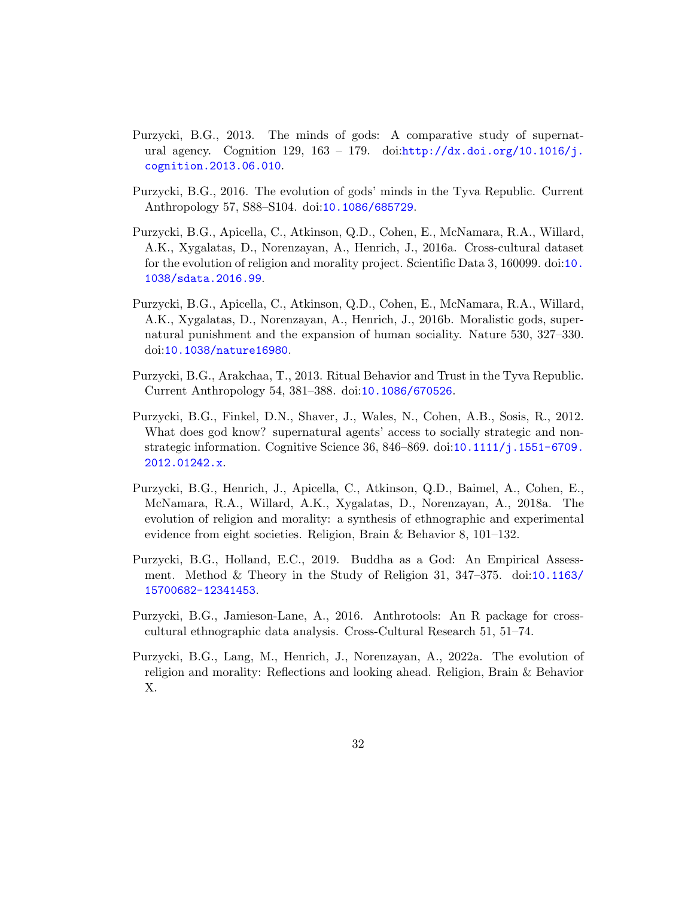- <span id="page-31-1"></span>Purzycki, B.G., 2013. The minds of gods: A comparative study of supernatural agency. Cognition 129,  $163 - 179$ . doi: $\frac{http://dx.doi.org/10.1016/j.}{}$  $\frac{http://dx.doi.org/10.1016/j.}{}$  $\frac{http://dx.doi.org/10.1016/j.}{}$ [cognition.2013.06.010](http://dx.doi.org/http://dx.doi.org/10.1016/j.cognition.2013.06.010).
- <span id="page-31-2"></span>Purzycki, B.G., 2016. The evolution of gods' minds in the Tyva Republic. Current Anthropology 57, S88–S104. doi:[10.1086/685729](http://dx.doi.org/10.1086/685729).
- <span id="page-31-4"></span>Purzycki, B.G., Apicella, C., Atkinson, Q.D., Cohen, E., McNamara, R.A., Willard, A.K., Xygalatas, D., Norenzayan, A., Henrich, J., 2016a. Cross-cultural dataset for the evolution of religion and morality project. Scientific Data 3, 160099. doi:[10.](http://dx.doi.org/10.1038/sdata.2016.99) [1038/sdata.2016.99](http://dx.doi.org/10.1038/sdata.2016.99).
- <span id="page-31-0"></span>Purzycki, B.G., Apicella, C., Atkinson, Q.D., Cohen, E., McNamara, R.A., Willard, A.K., Xygalatas, D., Norenzayan, A., Henrich, J., 2016b. Moralistic gods, supernatural punishment and the expansion of human sociality. Nature 530, 327–330. doi:[10.1038/nature16980](http://dx.doi.org/10.1038/nature16980).
- <span id="page-31-7"></span>Purzycki, B.G., Arakchaa, T., 2013. Ritual Behavior and Trust in the Tyva Republic. Current Anthropology 54, 381–388. doi:[10.1086/670526](http://dx.doi.org/10.1086/670526).
- <span id="page-31-8"></span>Purzycki, B.G., Finkel, D.N., Shaver, J., Wales, N., Cohen, A.B., Sosis, R., 2012. What does god know? supernatural agents' access to socially strategic and nonstrategic information. Cognitive Science 36, 846–869. doi:[10.1111/j.1551-6709.](http://dx.doi.org/10.1111/j.1551-6709.2012.01242.x) [2012.01242.x](http://dx.doi.org/10.1111/j.1551-6709.2012.01242.x).
- <span id="page-31-5"></span>Purzycki, B.G., Henrich, J., Apicella, C., Atkinson, Q.D., Baimel, A., Cohen, E., McNamara, R.A., Willard, A.K., Xygalatas, D., Norenzayan, A., 2018a. The evolution of religion and morality: a synthesis of ethnographic and experimental evidence from eight societies. Religion, Brain & Behavior 8, 101–132.
- <span id="page-31-9"></span>Purzycki, B.G., Holland, E.C., 2019. Buddha as a God: An Empirical Assessment. Method & Theory in the Study of Religion 31, 347–375. doi:[10.1163/](http://dx.doi.org/10.1163/15700682-12341453) [15700682-12341453](http://dx.doi.org/10.1163/15700682-12341453).
- <span id="page-31-6"></span>Purzycki, B.G., Jamieson-Lane, A., 2016. Anthrotools: An R package for crosscultural ethnographic data analysis. Cross-Cultural Research 51, 51–74.
- <span id="page-31-3"></span>Purzycki, B.G., Lang, M., Henrich, J., Norenzayan, A., 2022a. The evolution of religion and morality: Reflections and looking ahead. Religion, Brain & Behavior X.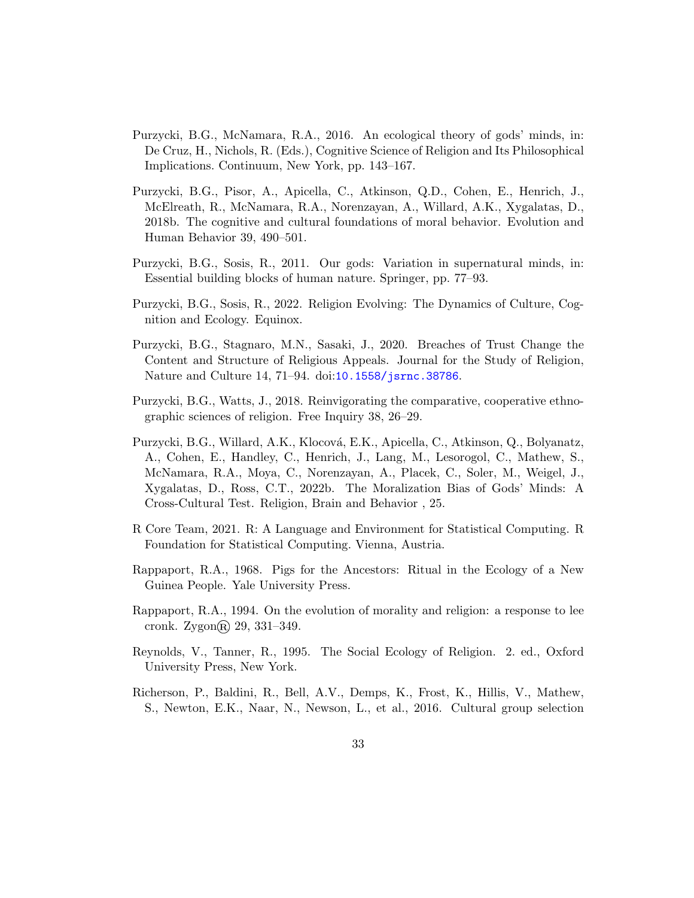- <span id="page-32-1"></span>Purzycki, B.G., McNamara, R.A., 2016. An ecological theory of gods' minds, in: De Cruz, H., Nichols, R. (Eds.), Cognitive Science of Religion and Its Philosophical Implications. Continuum, New York, pp. 143–167.
- <span id="page-32-7"></span>Purzycki, B.G., Pisor, A., Apicella, C., Atkinson, Q.D., Cohen, E., Henrich, J., McElreath, R., McNamara, R.A., Norenzayan, A., Willard, A.K., Xygalatas, D., 2018b. The cognitive and cultural foundations of moral behavior. Evolution and Human Behavior 39, 490–501.
- <span id="page-32-3"></span>Purzycki, B.G., Sosis, R., 2011. Our gods: Variation in supernatural minds, in: Essential building blocks of human nature. Springer, pp. 77–93.
- <span id="page-32-2"></span>Purzycki, B.G., Sosis, R., 2022. Religion Evolving: The Dynamics of Culture, Cognition and Ecology. Equinox.
- <span id="page-32-6"></span>Purzycki, B.G., Stagnaro, M.N., Sasaki, J., 2020. Breaches of Trust Change the Content and Structure of Religious Appeals. Journal for the Study of Religion, Nature and Culture 14, 71–94. doi:[10.1558/jsrnc.38786](http://dx.doi.org/10.1558/jsrnc.38786).
- <span id="page-32-0"></span>Purzycki, B.G., Watts, J., 2018. Reinvigorating the comparative, cooperative ethnographic sciences of religion. Free Inquiry 38, 26–29.
- <span id="page-32-9"></span>Purzycki, B.G., Willard, A.K., Klocová, E.K., Apicella, C., Atkinson, Q., Bolyanatz, A., Cohen, E., Handley, C., Henrich, J., Lang, M., Lesorogol, C., Mathew, S., McNamara, R.A., Moya, C., Norenzayan, A., Placek, C., Soler, M., Weigel, J., Xygalatas, D., Ross, C.T., 2022b. The Moralization Bias of Gods' Minds: A Cross-Cultural Test. Religion, Brain and Behavior , 25.
- <span id="page-32-8"></span>R Core Team, 2021. R: A Language and Environment for Statistical Computing. R Foundation for Statistical Computing. Vienna, Austria.
- <span id="page-32-10"></span>Rappaport, R.A., 1968. Pigs for the Ancestors: Ritual in the Ecology of a New Guinea People. Yale University Press.
- <span id="page-32-5"></span>Rappaport, R.A., 1994. On the evolution of morality and religion: a response to lee cronk. Zygon $\circledR$  29, 331–349.
- <span id="page-32-11"></span>Reynolds, V., Tanner, R., 1995. The Social Ecology of Religion. 2. ed., Oxford University Press, New York.
- <span id="page-32-4"></span>Richerson, P., Baldini, R., Bell, A.V., Demps, K., Frost, K., Hillis, V., Mathew, S., Newton, E.K., Naar, N., Newson, L., et al., 2016. Cultural group selection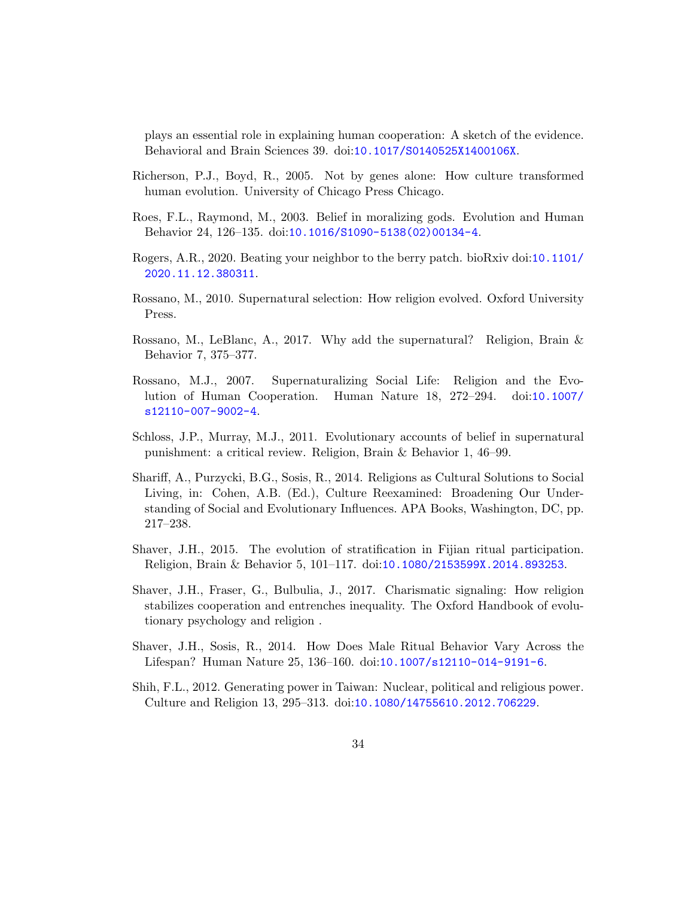plays an essential role in explaining human cooperation: A sketch of the evidence. Behavioral and Brain Sciences 39. doi:[10.1017/S0140525X1400106X](http://dx.doi.org/10.1017/S0140525X1400106X).

- <span id="page-33-7"></span>Richerson, P.J., Boyd, R., 2005. Not by genes alone: How culture transformed human evolution. University of Chicago Press Chicago.
- <span id="page-33-1"></span>Roes, F.L., Raymond, M., 2003. Belief in moralizing gods. Evolution and Human Behavior 24, 126–135. doi:[10.1016/S1090-5138\(02\)00134-4](http://dx.doi.org/10.1016/S1090-5138(02)00134-4).
- <span id="page-33-8"></span>Rogers, A.R., 2020. Beating your neighbor to the berry patch. bioRxiv doi:[10.1101/](http://dx.doi.org/10.1101/2020.11.12.380311) [2020.11.12.380311](http://dx.doi.org/10.1101/2020.11.12.380311).
- <span id="page-33-6"></span>Rossano, M., 2010. Supernatural selection: How religion evolved. Oxford University Press.
- <span id="page-33-5"></span>Rossano, M., LeBlanc, A., 2017. Why add the supernatural? Religion, Brain & Behavior 7, 375–377.
- <span id="page-33-3"></span>Rossano, M.J., 2007. Supernaturalizing Social Life: Religion and the Evolution of Human Cooperation. Human Nature 18, 272–294. doi:[10.1007/](http://dx.doi.org/10.1007/s12110-007-9002-4) [s12110-007-9002-4](http://dx.doi.org/10.1007/s12110-007-9002-4).
- <span id="page-33-0"></span>Schloss, J.P., Murray, M.J., 2011. Evolutionary accounts of belief in supernatural punishment: a critical review. Religion, Brain & Behavior 1, 46–99.
- <span id="page-33-4"></span>Shariff, A., Purzycki, B.G., Sosis, R., 2014. Religions as Cultural Solutions to Social Living, in: Cohen, A.B. (Ed.), Culture Reexamined: Broadening Our Understanding of Social and Evolutionary Influences. APA Books, Washington, DC, pp. 217–238.
- <span id="page-33-9"></span>Shaver, J.H., 2015. The evolution of stratification in Fijian ritual participation. Religion, Brain & Behavior 5, 101–117. doi:[10.1080/2153599X.2014.893253](http://dx.doi.org/10.1080/2153599X.2014.893253).
- <span id="page-33-2"></span>Shaver, J.H., Fraser, G., Bulbulia, J., 2017. Charismatic signaling: How religion stabilizes cooperation and entrenches inequality. The Oxford Handbook of evolutionary psychology and religion .
- <span id="page-33-10"></span>Shaver, J.H., Sosis, R., 2014. How Does Male Ritual Behavior Vary Across the Lifespan? Human Nature 25, 136–160. doi:[10.1007/s12110-014-9191-6](http://dx.doi.org/10.1007/s12110-014-9191-6).
- <span id="page-33-11"></span>Shih, F.L., 2012. Generating power in Taiwan: Nuclear, political and religious power. Culture and Religion 13, 295–313. doi:[10.1080/14755610.2012.706229](http://dx.doi.org/10.1080/14755610.2012.706229).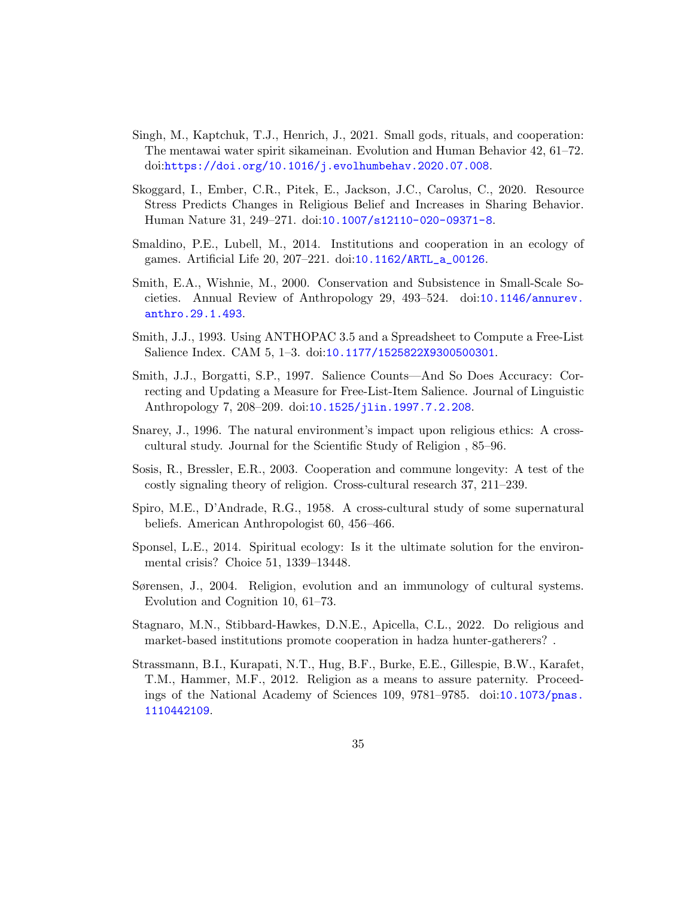- <span id="page-34-3"></span>Singh, M., Kaptchuk, T.J., Henrich, J., 2021. Small gods, rituals, and cooperation: The mentawai water spirit sikameinan. Evolution and Human Behavior 42, 61–72. doi:[https://doi.org/10.1016/j.evolhumbehav.2020.07.008](http://dx.doi.org/https://doi.org/10.1016/j.evolhumbehav.2020.07.008).
- <span id="page-34-1"></span>Skoggard, I., Ember, C.R., Pitek, E., Jackson, J.C., Carolus, C., 2020. Resource Stress Predicts Changes in Religious Belief and Increases in Sharing Behavior. Human Nature 31, 249–271. doi:[10.1007/s12110-020-09371-8](http://dx.doi.org/10.1007/s12110-020-09371-8).
- <span id="page-34-9"></span>Smaldino, P.E., Lubell, M., 2014. Institutions and cooperation in an ecology of games. Artificial Life 20, 207–221. doi:[10.1162/ARTL\\_a\\_00126](http://dx.doi.org/10.1162/ARTL_a_00126).
- <span id="page-34-10"></span>Smith, E.A., Wishnie, M., 2000. Conservation and Subsistence in Small-Scale Societies. Annual Review of Anthropology 29, 493–524. doi:[10.1146/annurev.](http://dx.doi.org/10.1146/annurev.anthro.29.1.493) [anthro.29.1.493](http://dx.doi.org/10.1146/annurev.anthro.29.1.493).
- <span id="page-34-5"></span>Smith, J.J., 1993. Using ANTHOPAC 3.5 and a Spreadsheet to Compute a Free-List Salience Index. CAM 5, 1–3. doi:[10.1177/1525822X9300500301](http://dx.doi.org/10.1177/1525822X9300500301).
- <span id="page-34-6"></span>Smith, J.J., Borgatti, S.P., 1997. Salience Counts—And So Does Accuracy: Correcting and Updating a Measure for Free-List-Item Salience. Journal of Linguistic Anthropology 7, 208–209. doi:[10.1525/jlin.1997.7.2.208](http://dx.doi.org/10.1525/jlin.1997.7.2.208).
- <span id="page-34-2"></span>Snarey, J., 1996. The natural environment's impact upon religious ethics: A crosscultural study. Journal for the Scientific Study of Religion , 85–96.
- <span id="page-34-4"></span>Sosis, R., Bressler, E.R., 2003. Cooperation and commune longevity: A test of the costly signaling theory of religion. Cross-cultural research 37, 211–239.
- <span id="page-34-0"></span>Spiro, M.E., D'Andrade, R.G., 1958. A cross-cultural study of some supernatural beliefs. American Anthropologist 60, 456–466.
- <span id="page-34-12"></span>Sponsel, L.E., 2014. Spiritual ecology: Is it the ultimate solution for the environmental crisis? Choice 51, 1339–13448.
- <span id="page-34-11"></span>Sørensen, J., 2004. Religion, evolution and an immunology of cultural systems. Evolution and Cognition 10, 61–73.
- <span id="page-34-7"></span>Stagnaro, M.N., Stibbard-Hawkes, D.N.E., Apicella, C.L., 2022. Do religious and market-based institutions promote cooperation in hadza hunter-gatherers? .
- <span id="page-34-8"></span>Strassmann, B.I., Kurapati, N.T., Hug, B.F., Burke, E.E., Gillespie, B.W., Karafet, T.M., Hammer, M.F., 2012. Religion as a means to assure paternity. Proceedings of the National Academy of Sciences 109, 9781–9785. doi:[10.1073/pnas.](http://dx.doi.org/10.1073/pnas.1110442109) [1110442109](http://dx.doi.org/10.1073/pnas.1110442109).